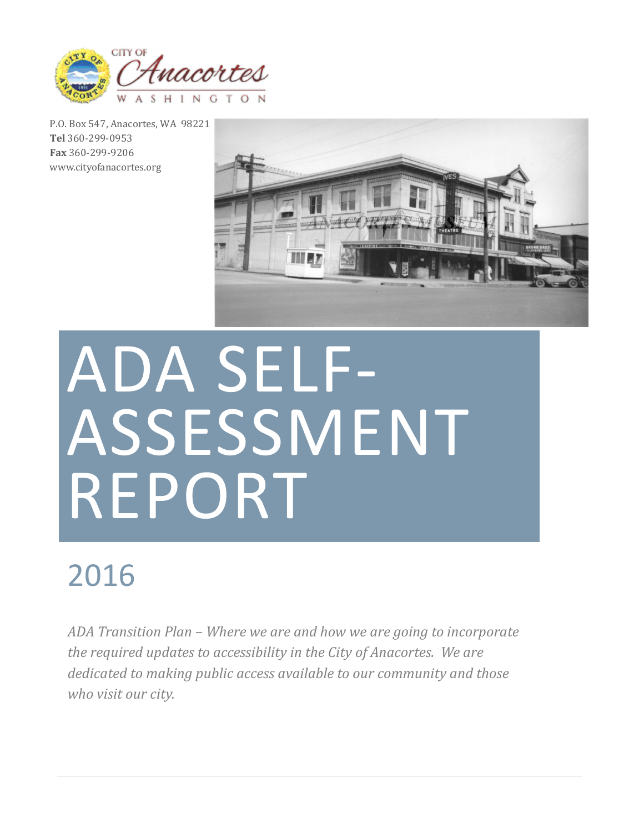

P.O. Box 547, Anacortes, WA 98221 **Tel** 360-299-0953 **Fax** 360-299-9206 www.cityofanacortes.org



# ADA SELF-**ASSESSMENT** REPORT

# 2016

ADA Transition Plan – Where we are and how we are going to incorporate *the required updates to accessibility in the City of Anacortes. We are* dedicated to making public access available to our community and those who visit our city.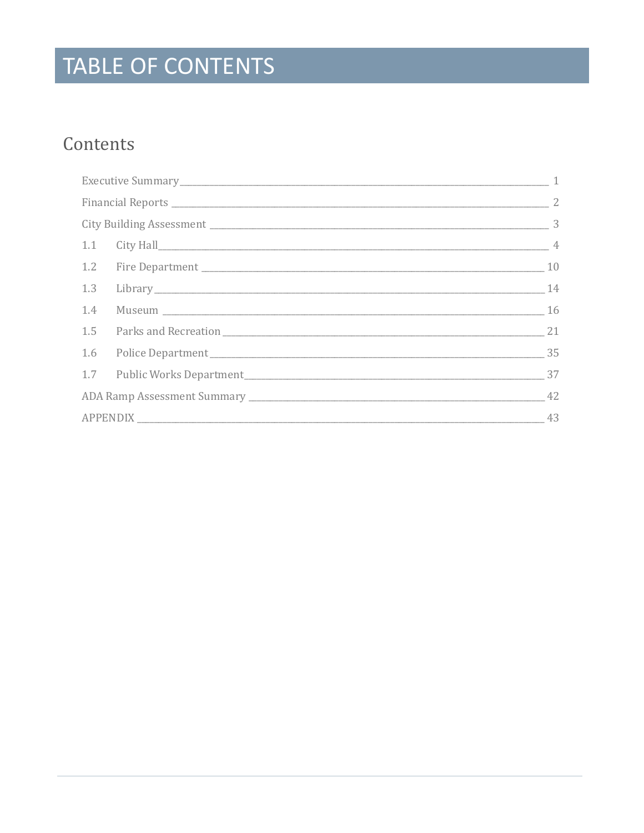# TABLE OF CONTENTS

### Contents

|          | 1.1 City Hall 4                |  |
|----------|--------------------------------|--|
|          |                                |  |
|          | 1.3 Library 14                 |  |
|          | 1.4 Museum 16                  |  |
|          |                                |  |
|          | 1.6 Police Department 35       |  |
|          | 1.7 Public Works Department 37 |  |
|          |                                |  |
| APPENDIX | 43                             |  |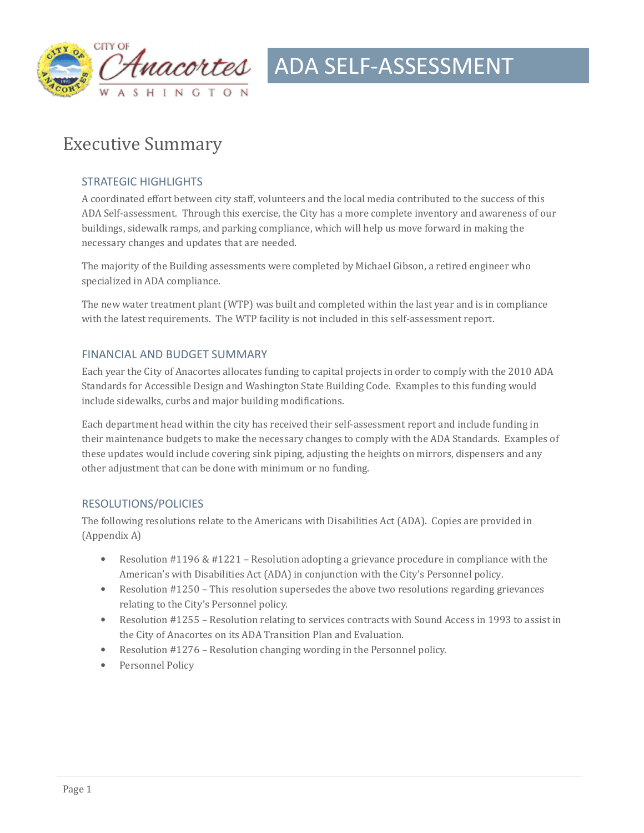

### **Executive Summary**

#### STRATEGIC HIGHLIGHTS

A coordinated effort between city staff, volunteers and the local media contributed to the success of this ADA Self-assessment. Through this exercise, the City has a more complete inventory and awareness of our buildings, sidewalk ramps, and parking compliance, which will help us move forward in making the necessary changes and updates that are needed.

The majority of the Building assessments were completed by Michael Gibson, a retired engineer who specialized in ADA compliance.

The new water treatment plant (WTP) was built and completed within the last year and is in compliance with the latest requirements. The WTP facility is not included in this self-assessment report.

#### FINANCIAL AND BUDGET SUMMARY

Each year the City of Anacortes allocates funding to capital projects in order to comply with the 2010 ADA Standards for Accessible Design and Washington State Building Code. Examples to this funding would include sidewalks, curbs and major building modifications.

Each department head within the city has received their self-assessment report and include funding in their maintenance budgets to make the necessary changes to comply with the ADA Standards. Examples of these updates would include covering sink piping, adjusting the heights on mirrors, dispensers and any other adjustment that can be done with minimum or no funding.

#### RESOLUTIONS/POLICIES

The following resolutions relate to the Americans with Disabilities Act (ADA). Copies are provided in (Appendix A)

- Resolution #1196 & #1221 Resolution adopting a grievance procedure in compliance with the American's with Disabilities Act (ADA) in conjunction with the City's Personnel policy.
- Resolution #1250 This resolution supersedes the above two resolutions regarding grievances relating to the City's Personnel policy.
- Resolution #1255 Resolution relating to services contracts with Sound Access in 1993 to assist in the City of Anacortes on its ADA Transition Plan and Evaluation.
- Resolution  $#1276$  Resolution changing wording in the Personnel policy.
- Personnel Policy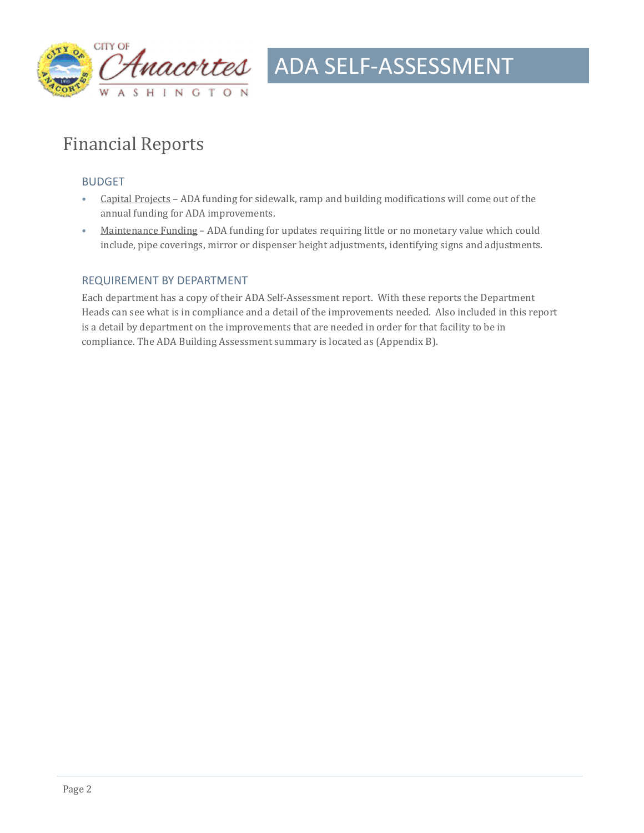

### Financial Reports

#### BUDGET

- Capital Projects ADA funding for sidewalk, ramp and building modifications will come out of the annual funding for ADA improvements.
- Maintenance Funding ADA funding for updates requiring little or no monetary value which could include, pipe coverings, mirror or dispenser height adjustments, identifying signs and adjustments.

#### REQUIREMENT BY DEPARTMENT

Each department has a copy of their ADA Self-Assessment report. With these reports the Department Heads can see what is in compliance and a detail of the improvements needed. Also included in this report is a detail by department on the improvements that are needed in order for that facility to be in compliance. The ADA Building Assessment summary is located as (Appendix B).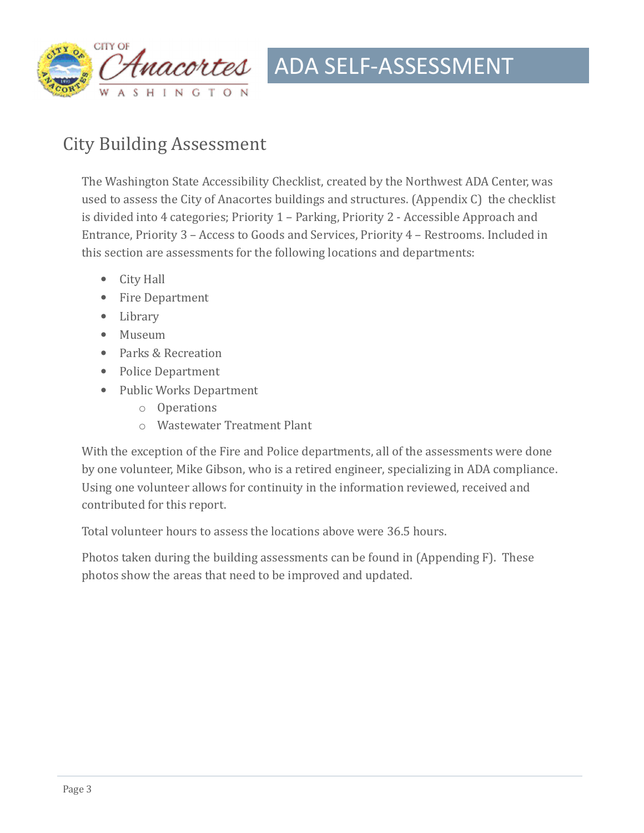

### City Building Assessment

The Washington State Accessibility Checklist, created by the Northwest ADA Center, was used to assess the City of Anacortes buildings and structures. (Appendix  $C$ ) the checklist is divided into 4 categories; Priority 1 - Parking, Priority 2 - Accessible Approach and Entrance, Priority  $3 -$  Access to Goods and Services, Priority  $4 -$  Restrooms. Included in this section are assessments for the following locations and departments:

- City Hall
- Fire Department
- Library
- Museum
- Parks & Recreation
- Police Department
- Public Works Department
	- o Operations
	- o Wastewater Treatment Plant

With the exception of the Fire and Police departments, all of the assessments were done by one volunteer, Mike Gibson, who is a retired engineer, specializing in ADA compliance. Using one volunteer allows for continuity in the information reviewed, received and contributed for this report.

Total volunteer hours to assess the locations above were 36.5 hours.

Photos taken during the building assessments can be found in (Appending F). These photos show the areas that need to be improved and updated.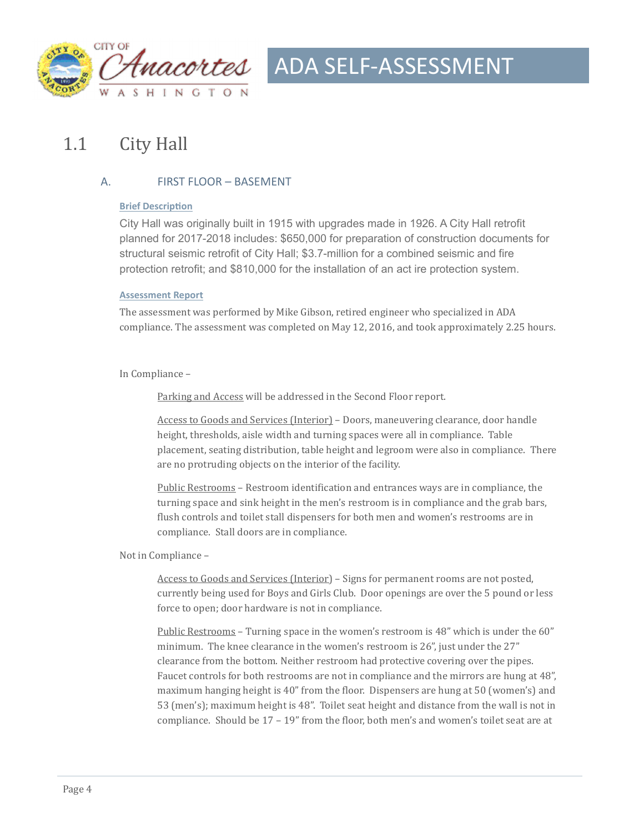

### 1.1 City Hall

#### A. FIRST FLOOR – BASEMENT

#### **Brief Description**

City Hall was originally built in 1915 with upgrades made in 1926. A City Hall retrofit planned for 2017-2018 includes: \$650,000 for preparation of construction documents for structural seismic retrofit of City Hall; \$3.7-million for a combined seismic and fire protection retrofit; and \$810,000 for the installation of an act ire protection system.

#### **Assessment Report**

The assessment was performed by Mike Gibson, retired engineer who specialized in ADA compliance. The assessment was completed on May 12, 2016, and took approximately 2.25 hours.

#### In Compliance –

Parking and Access will be addressed in the Second Floor report.

Access to Goods and Services (Interior) – Doors, maneuvering clearance, door handle height, thresholds, aisle width and turning spaces were all in compliance. Table placement, seating distribution, table height and legroom were also in compliance. There are no protruding objects on the interior of the facility.

Public Restrooms – Restroom identification and entrances ways are in compliance, the turning space and sink height in the men's restroom is in compliance and the grab bars, flush controls and toilet stall dispensers for both men and women's restrooms are in compliance. Stall doors are in compliance.

#### Not in Compliance –

Access to Goods and Services (Interior) – Signs for permanent rooms are not posted, currently being used for Boys and Girls Club. Door openings are over the 5 pound or less force to open; door hardware is not in compliance.

Public Restrooms – Turning space in the women's restroom is 48" which is under the 60" minimum. The knee clearance in the women's restroom is 26", just under the 27" clearance from the bottom. Neither restroom had protective covering over the pipes. Faucet controls for both restrooms are not in compliance and the mirrors are hung at 48", maximum hanging height is 40" from the floor. Dispensers are hung at 50 (women's) and 53 (men's); maximum height is 48". Toilet seat height and distance from the wall is not in compliance. Should be  $17 - 19$ " from the floor, both men's and women's toilet seat are at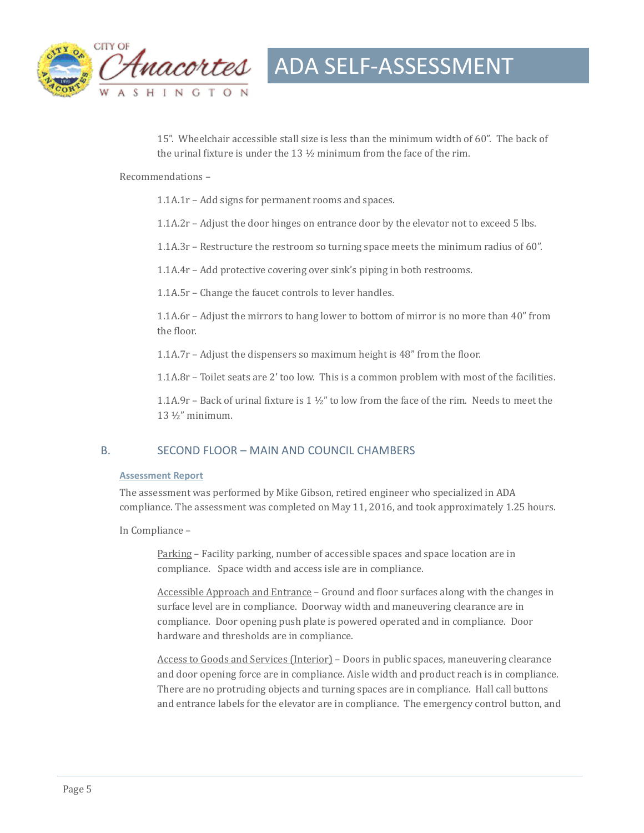

15". Wheelchair accessible stall size is less than the minimum width of 60". The back of the urinal fixture is under the  $13\frac{1}{2}$  minimum from the face of the rim.

Recommendations -

 $1.1A.1r$  – Add signs for permanent rooms and spaces.

1.1A.2r – Adjust the door hinges on entrance door by the elevator not to exceed 5 lbs.

 $1.1A.3r$  – Restructure the restroom so turning space meets the minimum radius of 60".

1.1A.4r – Add protective covering over sink's piping in both restrooms.

1.1A.5r – Change the faucet controls to lever handles.

1.1A.6r – Adjust the mirrors to hang lower to bottom of mirror is no more than  $40^{\circ}$  from the floor.

1.1A.7 $r$  – Adjust the dispensers so maximum height is 48" from the floor.

 $1.1A.8r$  – Toilet seats are 2' too low. This is a common problem with most of the facilities.

1.1A.9r – Back of urinal fixture is  $1 \frac{1}{2}$ " to low from the face of the rim. Needs to meet the  $13 \frac{1}{2}$ " minimum.

#### B. SECOND FLOOR – MAIN AND COUNCIL CHAMBERS

#### **Assessment Report**

The assessment was performed by Mike Gibson, retired engineer who specialized in ADA compliance. The assessment was completed on May 11, 2016, and took approximately 1.25 hours.

In Compliance -

Parking - Facility parking, number of accessible spaces and space location are in compliance. Space width and access isle are in compliance.

Accessible Approach and Entrance – Ground and floor surfaces along with the changes in surface level are in compliance. Doorway width and maneuvering clearance are in compliance. Door opening push plate is powered operated and in compliance. Door hardware and thresholds are in compliance.

Access to Goods and Services (Interior) – Doors in public spaces, maneuvering clearance and door opening force are in compliance. Aisle width and product reach is in compliance. There are no protruding objects and turning spaces are in compliance. Hall call buttons and entrance labels for the elevator are in compliance. The emergency control button, and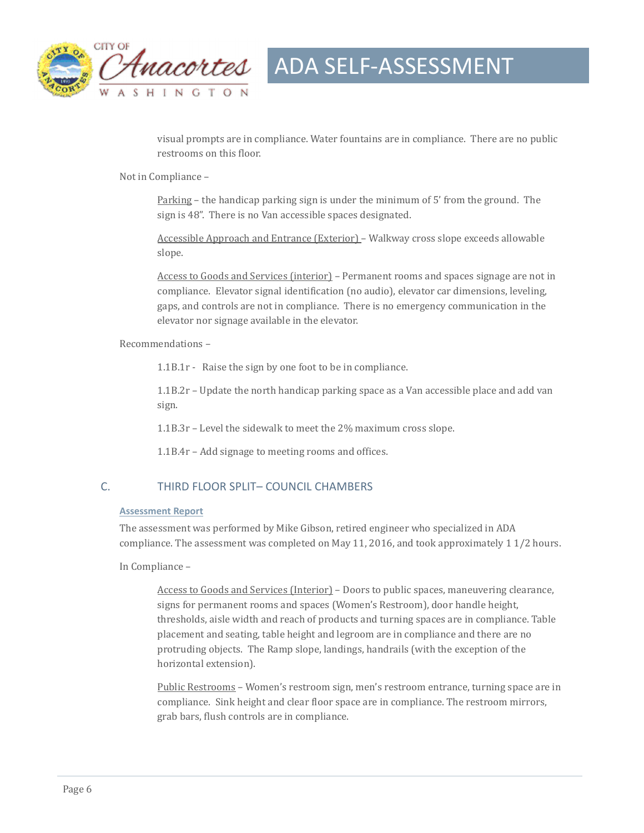

visual prompts are in compliance. Water fountains are in compliance. There are no public restrooms on this floor.

Not in Compliance -

Parking – the handicap parking sign is under the minimum of 5' from the ground. The sign is 48". There is no Van accessible spaces designated.

Accessible Approach and Entrance (Exterior) – Walkway cross slope exceeds allowable slope. 

Access to Goods and Services (interior) – Permanent rooms and spaces signage are not in compliance. Elevator signal identification (no audio), elevator car dimensions, leveling, gaps, and controls are not in compliance. There is no emergency communication in the elevator nor signage available in the elevator.

Recommendations -

1.1B.1 $r$  - Raise the sign by one foot to be in compliance.

 $1.1B.2r$  – Update the north handicap parking space as a Van accessible place and add van sign. 

1.1B.3r – Level the sidewalk to meet the  $2\%$  maximum cross slope.

1.1B.4r - Add signage to meeting rooms and offices.

#### C. THIRD FLOOR SPLIT– COUNCIL CHAMBERS

#### **Assessment Report**

The assessment was performed by Mike Gibson, retired engineer who specialized in ADA compliance. The assessment was completed on May 11, 2016, and took approximately 1 1/2 hours.

In Compliance -

Access to Goods and Services (Interior) – Doors to public spaces, maneuvering clearance, signs for permanent rooms and spaces (Women's Restroom), door handle height, thresholds, aisle width and reach of products and turning spaces are in compliance. Table placement and seating, table height and legroom are in compliance and there are no protruding objects. The Ramp slope, landings, handrails (with the exception of the horizontal extension).

<u>Public Restrooms</u> – Women's restroom sign, men's restroom entrance, turning space are in compliance. Sink height and clear floor space are in compliance. The restroom mirrors, grab bars, flush controls are in compliance.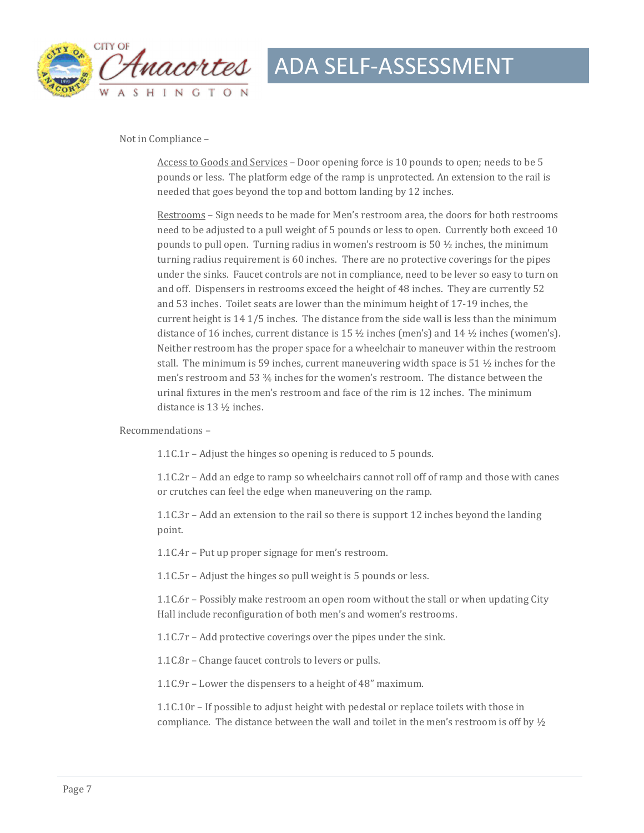

#### Not in Compliance -

Access to Goods and Services - Door opening force is 10 pounds to open; needs to be 5 pounds or less. The platform edge of the ramp is unprotected. An extension to the rail is needed that goes beyond the top and bottom landing by 12 inches.

Restrooms – Sign needs to be made for Men's restroom area, the doors for both restrooms need to be adjusted to a pull weight of 5 pounds or less to open. Currently both exceed 10 pounds to pull open. Turning radius in women's restroom is 50  $\frac{1}{2}$  inches, the minimum turning radius requirement is 60 inches. There are no protective coverings for the pipes under the sinks. Faucet controls are not in compliance, need to be lever so easy to turn on and off. Dispensers in restrooms exceed the height of 48 inches. They are currently 52 and 53 inches. Toilet seats are lower than the minimum height of 17-19 inches, the current height is  $14$  1/5 inches. The distance from the side wall is less than the minimum distance of 16 inches, current distance is 15  $\frac{1}{2}$  inches (men's) and 14  $\frac{1}{2}$  inches (women's). Neither restroom has the proper space for a wheelchair to maneuver within the restroom stall. The minimum is 59 inches, current maneuvering width space is 51  $\frac{1}{2}$  inches for the men's restroom and 53  $\frac{3}{4}$  inches for the women's restroom. The distance between the urinal fixtures in the men's restroom and face of the rim is 12 inches. The minimum distance is 13 \% inches.

Recommendations -

1.1C.1 $r$  – Adjust the hinges so opening is reduced to 5 pounds.

 $1.1C.2r$  – Add an edge to ramp so wheelchairs cannot roll off of ramp and those with canes or crutches can feel the edge when maneuvering on the ramp.

1.1C.3r – Add an extension to the rail so there is support  $12$  inches beyond the landing point. 

1.1C.4r – Put up proper signage for men's restroom.

1.1C.5r - Adjust the hinges so pull weight is 5 pounds or less.

 $1.1C.6r$  – Possibly make restroom an open room without the stall or when updating City Hall include reconfiguration of both men's and women's restrooms.

 $1.1C.7r$  – Add protective coverings over the pipes under the sink.

1.1C.8r – Change faucet controls to levers or pulls.

1.1C.9r – Lower the dispensers to a height of  $48$ " maximum.

 $1.1C.10r -$  If possible to adjust height with pedestal or replace toilets with those in compliance. The distance between the wall and toilet in the men's restroom is off by  $\frac{1}{2}$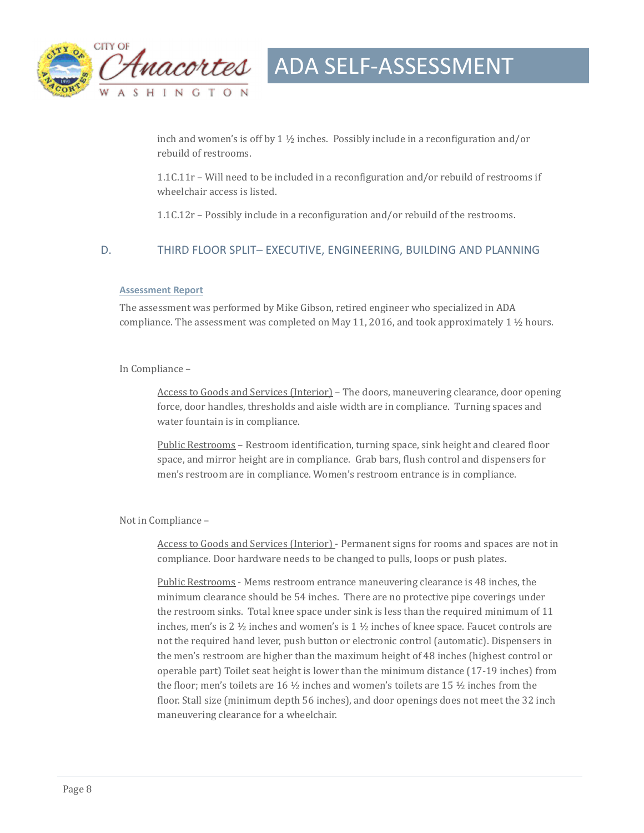

inch and women's is off by 1  $\frac{1}{2}$  inches. Possibly include in a reconfiguration and/or rebuild of restrooms.

 $1.1C.11r -$  Will need to be included in a reconfiguration and/or rebuild of restrooms if wheelchair access is listed.

 $1.1C.12r$  – Possibly include in a reconfiguration and/or rebuild of the restrooms.

#### D. THIRD FLOOR SPLIT– EXECUTIVE, ENGINEERING, BUILDING AND PLANNING

#### **Assessment Report**

The assessment was performed by Mike Gibson, retired engineer who specialized in ADA compliance. The assessment was completed on May 11, 2016, and took approximately 1  $\frac{1}{2}$  hours.

In Compliance -

Access to Goods and Services (Interior) – The doors, maneuvering clearance, door opening force, door handles, thresholds and aisle width are in compliance. Turning spaces and water fountain is in compliance.

Public Restrooms - Restroom identification, turning space, sink height and cleared floor space, and mirror height are in compliance. Grab bars, flush control and dispensers for men's restroom are in compliance. Women's restroom entrance is in compliance.

Not in Compliance -

Access to Goods and Services (Interior) - Permanent signs for rooms and spaces are not in compliance. Door hardware needs to be changed to pulls, loops or push plates.

Public Restrooms - Mems restroom entrance maneuvering clearance is 48 inches, the minimum clearance should be 54 inches. There are no protective pipe coverings under the restroom sinks. Total knee space under sink is less than the required minimum of 11 inches, men's is 2  $\frac{1}{2}$  inches and women's is 1  $\frac{1}{2}$  inches of knee space. Faucet controls are not the required hand lever, push button or electronic control (automatic). Dispensers in the men's restroom are higher than the maximum height of 48 inches (highest control or operable part) Toilet seat height is lower than the minimum distance (17-19 inches) from the floor; men's toilets are 16  $\frac{1}{2}$  inches and women's toilets are 15  $\frac{1}{2}$  inches from the floor. Stall size (minimum depth 56 inches), and door openings does not meet the 32 inch maneuvering clearance for a wheelchair.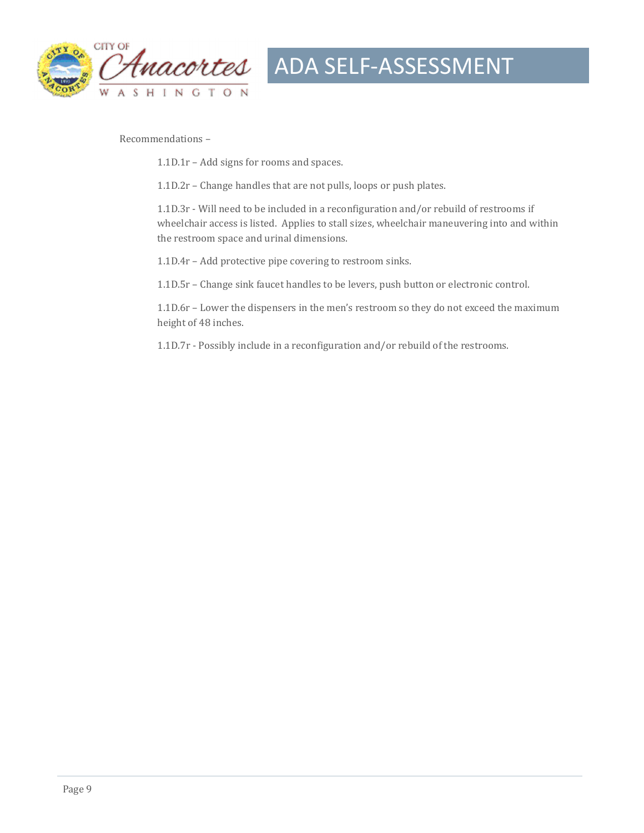

Recommendations -

 $1.1D.1r$  – Add signs for rooms and spaces.

1.1D.2r - Change handles that are not pulls, loops or push plates.

1.1D.3r - Will need to be included in a reconfiguration and/or rebuild of restrooms if wheelchair access is listed. Applies to stall sizes, wheelchair maneuvering into and within the restroom space and urinal dimensions.

1.1D.4r - Add protective pipe covering to restroom sinks.

1.1D.5r - Change sink faucet handles to be levers, push button or electronic control.

1.1D.6r - Lower the dispensers in the men's restroom so they do not exceed the maximum height of 48 inches.

1.1D.7r - Possibly include in a reconfiguration and/or rebuild of the restrooms.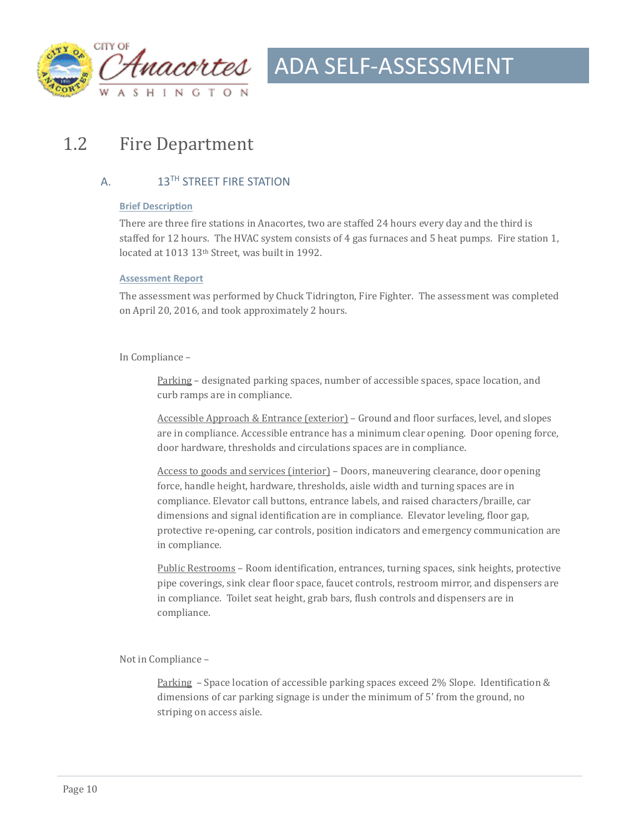

### 1.2 Fire Department

#### A. 13<sup>TH</sup> STREET FIRE STATION

#### **Brief Description**

There are three fire stations in Anacortes, two are staffed 24 hours every day and the third is staffed for 12 hours. The HVAC system consists of 4 gas furnaces and 5 heat pumps. Fire station 1, located at 1013 13<sup>th</sup> Street, was built in 1992.

#### **Assessment Report**

The assessment was performed by Chuck Tidrington, Fire Fighter. The assessment was completed on April 20, 2016, and took approximately 2 hours.

#### In Compliance -

Parking – designated parking spaces, number of accessible spaces, space location, and curb ramps are in compliance.

Accessible Approach & Entrance (exterior) – Ground and floor surfaces, level, and slopes are in compliance. Accessible entrance has a minimum clear opening. Door opening force, door hardware, thresholds and circulations spaces are in compliance.

Access to goods and services (interior) – Doors, maneuvering clearance, door opening force, handle height, hardware, thresholds, aisle width and turning spaces are in compliance. Elevator call buttons, entrance labels, and raised characters/braille, car dimensions and signal identification are in compliance. Elevator leveling, floor gap, protective re-opening, car controls, position indicators and emergency communication are in compliance.

Public Restrooms – Room identification, entrances, turning spaces, sink heights, protective pipe coverings, sink clear floor space, faucet controls, restroom mirror, and dispensers are in compliance. Toilet seat height, grab bars, flush controls and dispensers are in compliance. 

Not in Compliance -

Parking  $-$  Space location of accessible parking spaces exceed 2% Slope. Identification & dimensions of car parking signage is under the minimum of 5' from the ground, no striping on access aisle.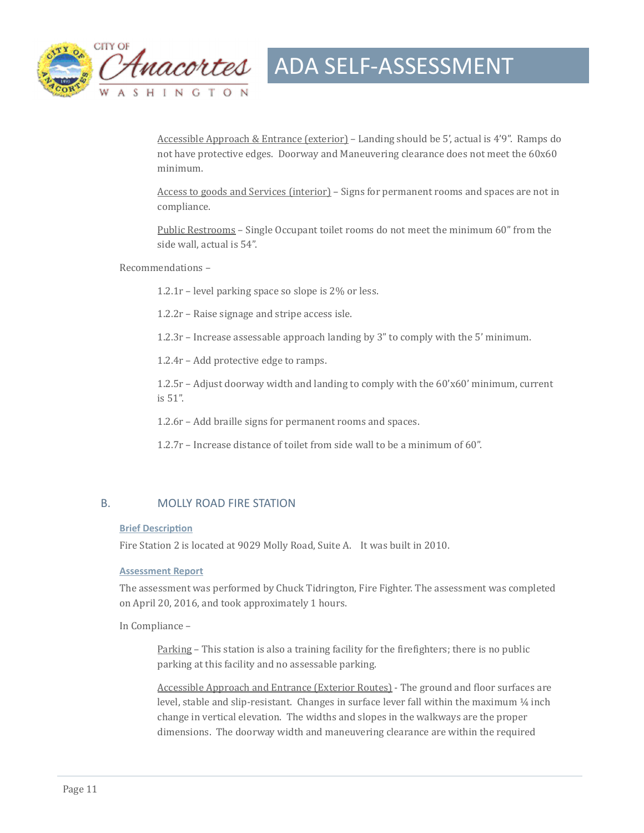

Accessible Approach & Entrance (exterior) – Landing should be 5', actual is  $4'9''$ . Ramps do not have protective edges. Doorway and Maneuvering clearance does not meet the  $60x60$ minimum. 

Access to goods and Services (interior) – Signs for permanent rooms and spaces are not in compliance. 

Public Restrooms – Single Occupant toilet rooms do not meet the minimum 60" from the side wall, actual is 54".

Recommendations -

1.2.1r – level parking space so slope is  $2\%$  or less.

 $1.2.2r$  – Raise signage and stripe access isle.

1.2.3r – Increase assessable approach landing by  $3''$  to comply with the  $5'$  minimum.

 $1.2.4r$  – Add protective edge to ramps.

 $1.2.5r$  – Adjust doorway width and landing to comply with the  $60'x60'$  minimum, current is 51". 

1.2.6r – Add braille signs for permanent rooms and spaces.

1.2.7r – Increase distance of toilet from side wall to be a minimum of 60".

#### B. MOLLY ROAD FIRE STATION

#### **Brief Description**

Fire Station 2 is located at 9029 Molly Road, Suite A. It was built in 2010.

#### **Assessment Report**

The assessment was performed by Chuck Tidrington, Fire Fighter. The assessment was completed on April 20, 2016, and took approximately 1 hours.

In Compliance –

Parking – This station is also a training facility for the firefighters; there is no public parking at this facility and no assessable parking.

Accessible Approach and Entrance (Exterior Routes) - The ground and floor surfaces are level, stable and slip-resistant. Changes in surface lever fall within the maximum ¼ inch change in vertical elevation. The widths and slopes in the walkways are the proper dimensions. The doorway width and maneuvering clearance are within the required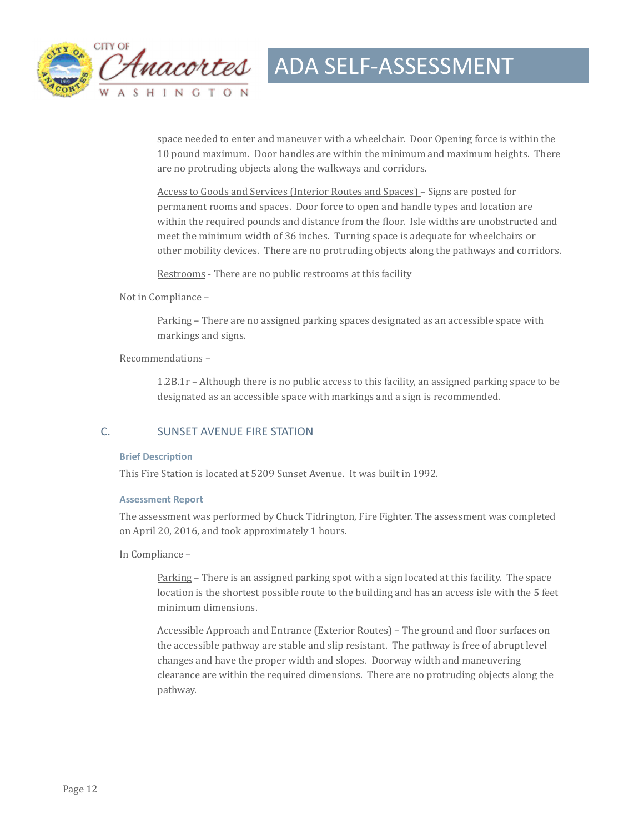

space needed to enter and maneuver with a wheelchair. Door Opening force is within the 10 pound maximum. Door handles are within the minimum and maximum heights. There are no protruding objects along the walkways and corridors.

Access to Goods and Services (Interior Routes and Spaces) – Signs are posted for permanent rooms and spaces. Door force to open and handle types and location are within the required pounds and distance from the floor. Isle widths are unobstructed and meet the minimum width of 36 inches. Turning space is adequate for wheelchairs or other mobility devices. There are no protruding objects along the pathways and corridors.

Restrooms - There are no public restrooms at this facility

Not in Compliance -

Parking – There are no assigned parking spaces designated as an accessible space with markings and signs.

Recommendations -

 $1.2B.1r - Although there is no public access to this facility, an assigned parking space to be$ designated as an accessible space with markings and a sign is recommended.

#### C. SUNSET AVENUE FIRE STATION

#### **Brief Description**

This Fire Station is located at 5209 Sunset Avenue. It was built in 1992.

#### **Assessment Report**

The assessment was performed by Chuck Tidrington, Fire Fighter. The assessment was completed on April 20, 2016, and took approximately 1 hours.

In Compliance –

Parking – There is an assigned parking spot with a sign located at this facility. The space location is the shortest possible route to the building and has an access isle with the 5 feet minimum dimensions.

Accessible Approach and Entrance (Exterior Routes) – The ground and floor surfaces on the accessible pathway are stable and slip resistant. The pathway is free of abrupt level changes and have the proper width and slopes. Doorway width and maneuvering clearance are within the required dimensions. There are no protruding objects along the pathway.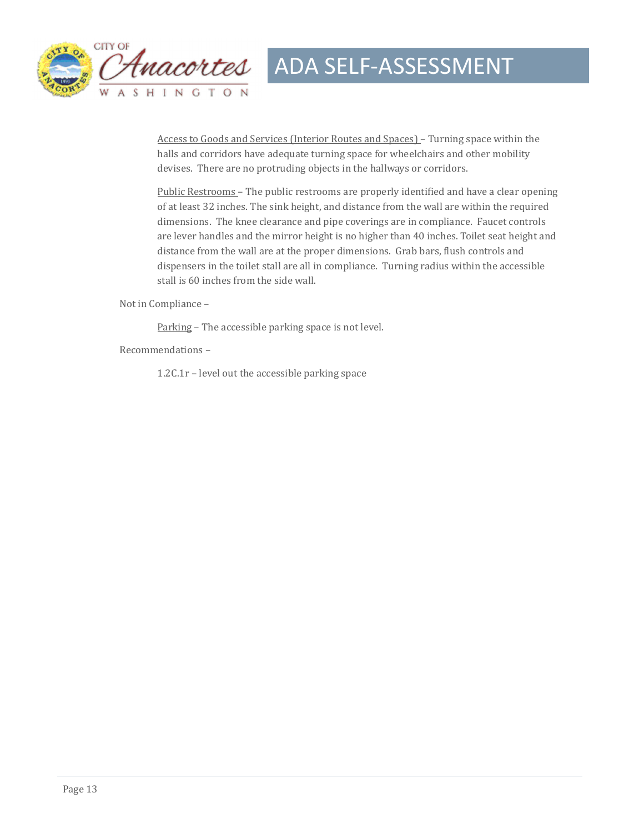

Access to Goods and Services (Interior Routes and Spaces) - Turning space within the halls and corridors have adequate turning space for wheelchairs and other mobility devises. There are no protruding objects in the hallways or corridors.

Public Restrooms – The public restrooms are properly identified and have a clear opening of at least 32 inches. The sink height, and distance from the wall are within the required dimensions. The knee clearance and pipe coverings are in compliance. Faucet controls are lever handles and the mirror height is no higher than 40 inches. Toilet seat height and distance from the wall are at the proper dimensions. Grab bars, flush controls and dispensers in the toilet stall are all in compliance. Turning radius within the accessible stall is 60 inches from the side wall.

Not in Compliance -

Parking - The accessible parking space is not level.

Recommendations – 

1.2C.1 $r$  – level out the accessible parking space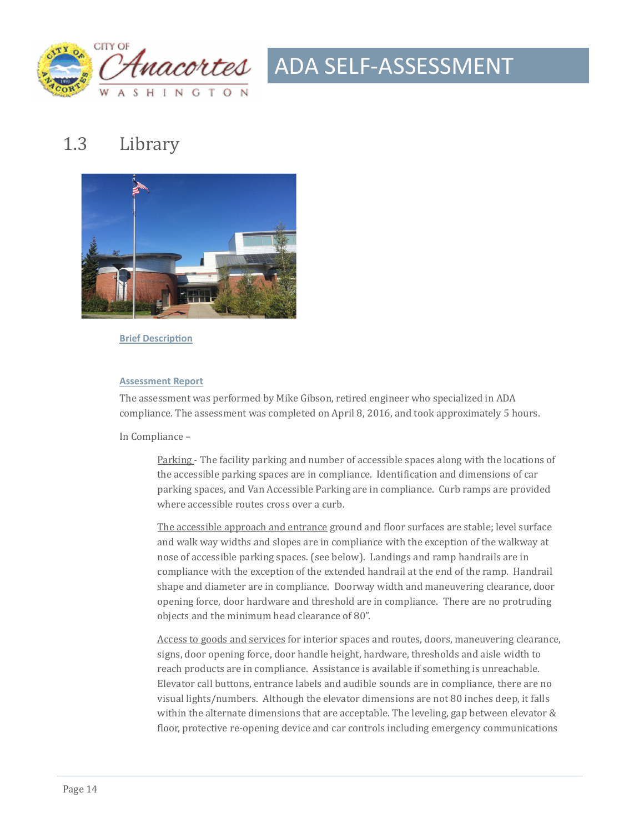

### 1.3 Library



**Brief Description** 

#### **Assessment Report**

The assessment was performed by Mike Gibson, retired engineer who specialized in ADA compliance. The assessment was completed on April 8, 2016, and took approximately 5 hours.

In Compliance –

Parking - The facility parking and number of accessible spaces along with the locations of the accessible parking spaces are in compliance. Identification and dimensions of car parking spaces, and Van Accessible Parking are in compliance. Curb ramps are provided where accessible routes cross over a curb.

The accessible approach and entrance ground and floor surfaces are stable; level surface and walk way widths and slopes are in compliance with the exception of the walkway at nose of accessible parking spaces. (see below). Landings and ramp handrails are in compliance with the exception of the extended handrail at the end of the ramp. Handrail shape and diameter are in compliance. Doorway width and maneuvering clearance, door opening force, door hardware and threshold are in compliance. There are no protruding objects and the minimum head clearance of 80".

Access to goods and services for interior spaces and routes, doors, maneuvering clearance, signs, door opening force, door handle height, hardware, thresholds and aisle width to reach products are in compliance. Assistance is available if something is unreachable. Elevator call buttons, entrance labels and audible sounds are in compliance, there are no visual lights/numbers. Although the elevator dimensions are not 80 inches deep, it falls within the alternate dimensions that are acceptable. The leveling, gap between elevator  $\&$ floor, protective re-opening device and car controls including emergency communications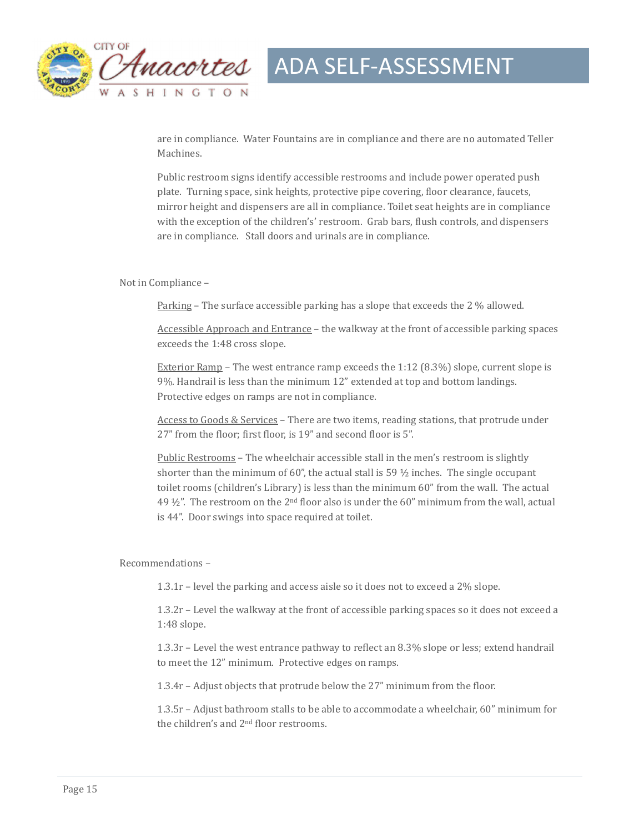

are in compliance. Water Fountains are in compliance and there are no automated Teller Machines. 

Public restroom signs identify accessible restrooms and include power operated push plate. Turning space, sink heights, protective pipe covering, floor clearance, faucets, mirror height and dispensers are all in compliance. Toilet seat heights are in compliance with the exception of the children's' restroom. Grab bars, flush controls, and dispensers are in compliance. Stall doors and urinals are in compliance.

#### Not in Compliance -

Parking - The surface accessible parking has a slope that exceeds the 2 % allowed.

Accessible Approach and Entrance - the walkway at the front of accessible parking spaces exceeds the 1:48 cross slope.

Exterior Ramp – The west entrance ramp exceeds the  $1:12$  (8.3%) slope, current slope is 9%. Handrail is less than the minimum 12" extended at top and bottom landings. Protective edges on ramps are not in compliance.

Access to Goods & Services - There are two items, reading stations, that protrude under 27" from the floor; first floor, is 19" and second floor is 5".

Public Restrooms - The wheelchair accessible stall in the men's restroom is slightly shorter than the minimum of 60", the actual stall is 59  $\frac{1}{2}$  inches. The single occupant toilet rooms (children's Library) is less than the minimum 60" from the wall. The actual 49  $\frac{1}{2}$ ". The restroom on the 2<sup>nd</sup> floor also is under the 60" minimum from the wall, actual is 44". Door swings into space required at toilet.

Recommendations -

1.3.1r – level the parking and access aisle so it does not to exceed a  $2\%$  slope.

 $1.3.2r$  – Level the walkway at the front of accessible parking spaces so it does not exceed a 1:48 slope. 

 $1.3.3r$  – Level the west entrance pathway to reflect an 8.3% slope or less; extend handrail to meet the 12" minimum. Protective edges on ramps.

1.3.4r – Adjust objects that protrude below the  $27$ " minimum from the floor.

1.3.5r – Adjust bathroom stalls to be able to accommodate a wheelchair, 60" minimum for the children's and  $2<sup>nd</sup>$  floor restrooms.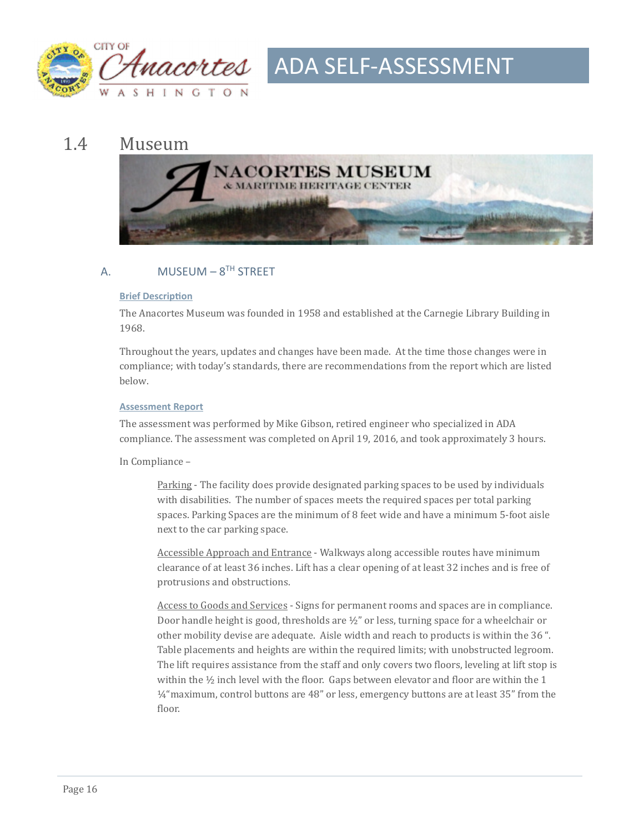

#### 1.4 Museum



#### A. MUSEUM –  $8^{TH}$  STREET

#### **Brief Description**

The Anacortes Museum was founded in 1958 and established at the Carnegie Library Building in 1968. 

Throughout the years, updates and changes have been made. At the time those changes were in compliance; with today's standards, there are recommendations from the report which are listed below. 

#### **Assessment Report**

The assessment was performed by Mike Gibson, retired engineer who specialized in ADA compliance. The assessment was completed on April 19, 2016, and took approximately 3 hours.

In Compliance -

Parking - The facility does provide designated parking spaces to be used by individuals with disabilities. The number of spaces meets the required spaces per total parking spaces. Parking Spaces are the minimum of 8 feet wide and have a minimum 5-foot aisle next to the car parking space.

Accessible Approach and Entrance - Walkways along accessible routes have minimum clearance of at least 36 inches. Lift has a clear opening of at least 32 inches and is free of protrusions and obstructions.

Access to Goods and Services - Signs for permanent rooms and spaces are in compliance. Door handle height is good, thresholds are  $\frac{1}{2}$ " or less, turning space for a wheelchair or other mobility devise are adequate. Aisle width and reach to products is within the 36 ". Table placements and heights are within the required limits; with unobstructed legroom. The lift requires assistance from the staff and only covers two floors, leveling at lift stop is within the  $\frac{1}{2}$  inch level with the floor. Gaps between elevator and floor are within the 1 1/4" maximum, control buttons are 48" or less, emergency buttons are at least 35" from the floor.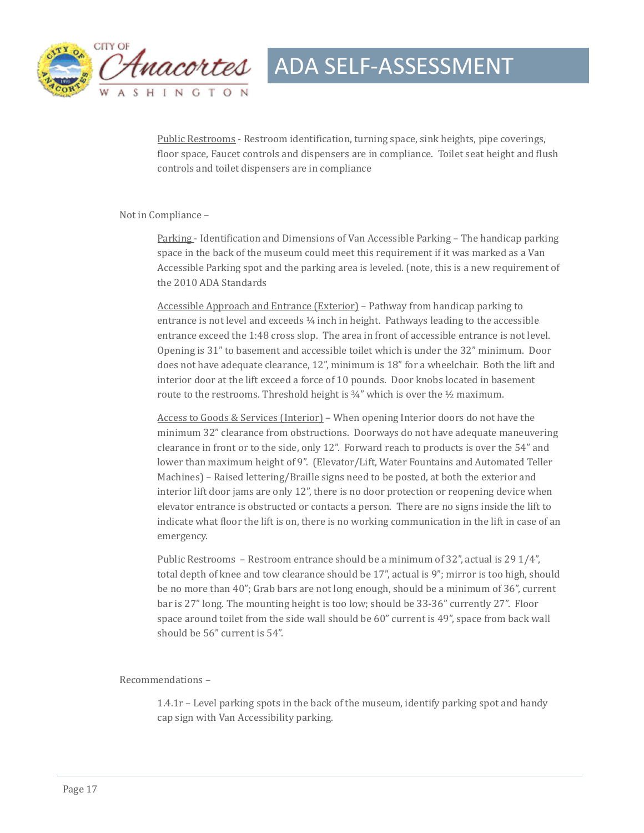

Public Restrooms - Restroom identification, turning space, sink heights, pipe coverings, floor space, Faucet controls and dispensers are in compliance. Toilet seat height and flush controls and toilet dispensers are in compliance

Not in Compliance -

Parking - Identification and Dimensions of Van Accessible Parking - The handicap parking space in the back of the museum could meet this requirement if it was marked as a Van Accessible Parking spot and the parking area is leveled. (note, this is a new requirement of the 2010 ADA Standards

Accessible Approach and Entrance (Exterior) – Pathway from handicap parking to entrance is not level and exceeds  $\frac{1}{4}$  inch in height. Pathways leading to the accessible entrance exceed the 1:48 cross slop. The area in front of accessible entrance is not level. Opening is 31" to basement and accessible toilet which is under the 32" minimum. Door does not have adequate clearance, 12", minimum is 18" for a wheelchair. Both the lift and interior door at the lift exceed a force of 10 pounds. Door knobs located in basement route to the restrooms. Threshold height is  $\frac{3}{4}$ " which is over the  $\frac{1}{2}$  maximum.

Access to Goods & Services (Interior) – When opening Interior doors do not have the minimum 32" clearance from obstructions. Doorways do not have adequate maneuvering clearance in front or to the side, only 12". Forward reach to products is over the  $54"$  and lower than maximum height of 9". (Elevator/Lift, Water Fountains and Automated Teller Machines) – Raised lettering/Braille signs need to be posted, at both the exterior and interior lift door jams are only  $12$ ", there is no door protection or reopening device when elevator entrance is obstructed or contacts a person. There are no signs inside the lift to indicate what floor the lift is on, there is no working communication in the lift in case of an emergency. 

Public Restrooms – Restroom entrance should be a minimum of 32", actual is 29  $1/4$ ", total depth of knee and tow clearance should be  $17$ ", actual is  $9$ "; mirror is too high, should be no more than 40"; Grab bars are not long enough, should be a minimum of 36", current bar is 27" long. The mounting height is too low; should be 33-36" currently 27". Floor space around toilet from the side wall should be  $60$ " current is  $49$ ", space from back wall should be 56" current is 54".

Recommendations -

 $1.4.1r$  – Level parking spots in the back of the museum, identify parking spot and handy cap sign with Van Accessibility parking.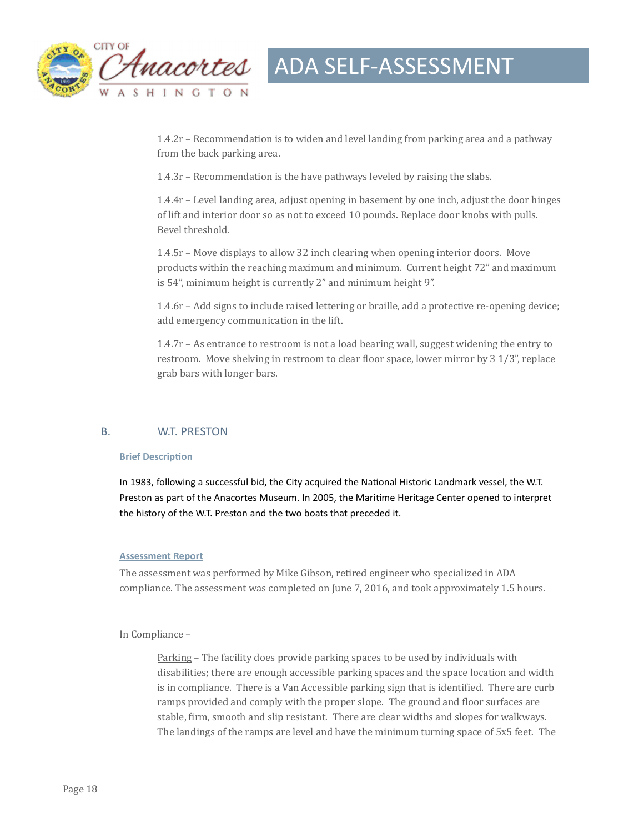

1.4.2r - Recommendation is to widen and level landing from parking area and a pathway from the back parking area.

 $1.4.3r$  – Recommendation is the have pathways leveled by raising the slabs.

 $1.4.4r$  – Level landing area, adjust opening in basement by one inch, adjust the door hinges of lift and interior door so as not to exceed 10 pounds. Replace door knobs with pulls. Bevel threshold.

 $1.4.5r$  – Move displays to allow 32 inch clearing when opening interior doors. Move products within the reaching maximum and minimum. Current height 72" and maximum is 54", minimum height is currently 2" and minimum height 9".

1.4.6r – Add signs to include raised lettering or braille, add a protective re-opening device; add emergency communication in the lift.

 $1.4.7r - As$  entrance to restroom is not a load bearing wall, suggest widening the entry to restroom. Move shelving in restroom to clear floor space, lower mirror by  $3\frac{1}{3}$ ", replace grab bars with longer bars.

#### B. W.T. PRESTON

#### **Brief Description**

In 1983, following a successful bid, the City acquired the National Historic Landmark vessel, the W.T. Preston as part of the Anacortes Museum. In 2005, the Maritime Heritage Center opened to interpret the history of the W.T. Preston and the two boats that preceded it.

#### **Assessment Report**

The assessment was performed by Mike Gibson, retired engineer who specialized in ADA compliance. The assessment was completed on June 7, 2016, and took approximately 1.5 hours.

#### In Compliance –

Parking – The facility does provide parking spaces to be used by individuals with disabilities; there are enough accessible parking spaces and the space location and width is in compliance. There is a Van Accessible parking sign that is identified. There are curb ramps provided and comply with the proper slope. The ground and floor surfaces are stable, firm, smooth and slip resistant. There are clear widths and slopes for walkways. The landings of the ramps are level and have the minimum turning space of 5x5 feet. The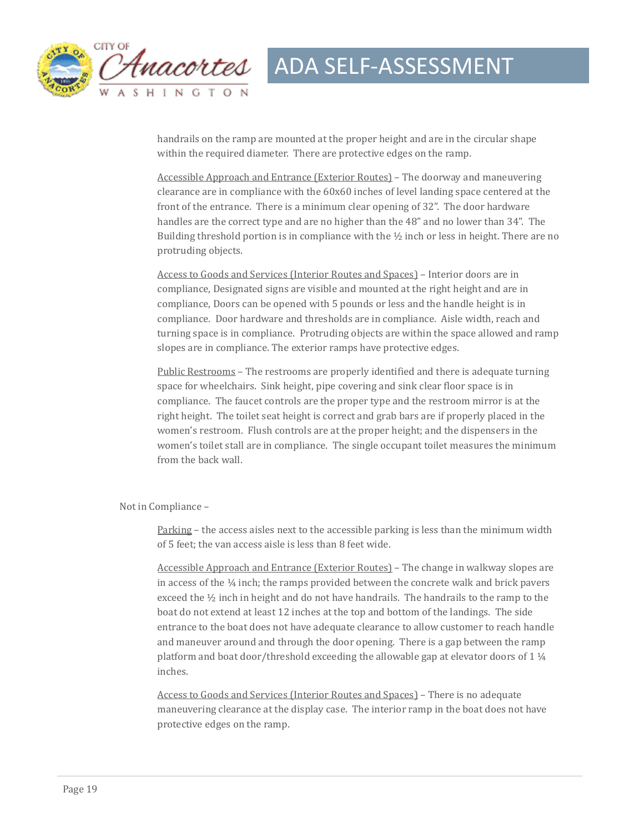

handrails on the ramp are mounted at the proper height and are in the circular shape within the required diameter. There are protective edges on the ramp.

Accessible Approach and Entrance (Exterior Routes) – The doorway and maneuvering clearance are in compliance with the  $60x60$  inches of level landing space centered at the front of the entrance. There is a minimum clear opening of 32". The door hardware handles are the correct type and are no higher than the 48" and no lower than 34". The Building threshold portion is in compliance with the  $\frac{1}{2}$  inch or less in height. There are no protruding objects.

Access to Goods and Services (Interior Routes and Spaces) – Interior doors are in compliance, Designated signs are visible and mounted at the right height and are in compliance, Doors can be opened with 5 pounds or less and the handle height is in compliance. Door hardware and thresholds are in compliance. Aisle width, reach and turning space is in compliance. Protruding objects are within the space allowed and ramp slopes are in compliance. The exterior ramps have protective edges.

Public Restrooms – The restrooms are properly identified and there is adequate turning space for wheelchairs. Sink height, pipe covering and sink clear floor space is in compliance. The faucet controls are the proper type and the restroom mirror is at the right height. The toilet seat height is correct and grab bars are if properly placed in the women's restroom. Flush controls are at the proper height; and the dispensers in the women's toilet stall are in compliance. The single occupant toilet measures the minimum from the back wall.

#### Not in Compliance -

Parking – the access aisles next to the accessible parking is less than the minimum width of 5 feet; the van access aisle is less than 8 feet wide.

Accessible Approach and Entrance (Exterior Routes) - The change in walkway slopes are in access of the  $\frac{1}{4}$  inch; the ramps provided between the concrete walk and brick pavers exceed the  $\frac{1}{2}$  inch in height and do not have handrails. The handrails to the ramp to the boat do not extend at least 12 inches at the top and bottom of the landings. The side entrance to the boat does not have adequate clearance to allow customer to reach handle and maneuver around and through the door opening. There is a gap between the ramp platform and boat door/threshold exceeding the allowable gap at elevator doors of  $1\frac{1}{4}$ inches. 

Access to Goods and Services (Interior Routes and Spaces) - There is no adequate maneuvering clearance at the display case. The interior ramp in the boat does not have protective edges on the ramp.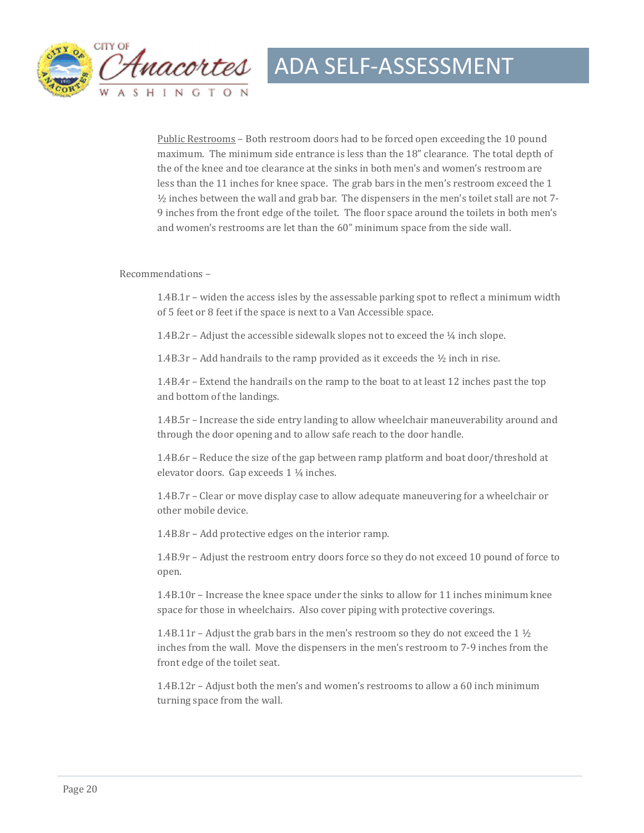

Public Restrooms - Both restroom doors had to be forced open exceeding the 10 pound maximum. The minimum side entrance is less than the 18" clearance. The total depth of the of the knee and toe clearance at the sinks in both men's and women's restroom are less than the 11 inches for knee space. The grab bars in the men's restroom exceed the  $1$  $\frac{1}{2}$  inches between the wall and grab bar. The dispensers in the men's toilet stall are not 7-9 inches from the front edge of the toilet. The floor space around the toilets in both men's and women's restrooms are let than the 60" minimum space from the side wall.

#### Recommendations -

 $1.4B.1r$  – widen the access isles by the assessable parking spot to reflect a minimum width of 5 feet or 8 feet if the space is next to a Van Accessible space.

1.4B.2r – Adjust the accessible sidewalk slopes not to exceed the  $\frac{1}{4}$  inch slope.

1.4B.3r – Add handrails to the ramp provided as it exceeds the  $\frac{1}{2}$  inch in rise.

1.4B.4r – Extend the handrails on the ramp to the boat to at least 12 inches past the top and bottom of the landings.

1.4B.5r - Increase the side entry landing to allow wheelchair maneuverability around and through the door opening and to allow safe reach to the door handle.

1.4B.6r – Reduce the size of the gap between ramp platform and boat door/threshold at elevator doors. Gap exceeds  $1\frac{1}{4}$  inches.

1.4B.7r – Clear or move display case to allow adequate maneuvering for a wheelchair or other mobile device.

1.4B.8r – Add protective edges on the interior ramp.

1.4B.9r – Adjust the restroom entry doors force so they do not exceed 10 pound of force to open. 

1.4B.10r – Increase the knee space under the sinks to allow for 11 inches minimum knee space for those in wheelchairs. Also cover piping with protective coverings.

1.4B.11r – Adjust the grab bars in the men's restroom so they do not exceed the 1  $\frac{1}{2}$ inches from the wall. Move the dispensers in the men's restroom to 7-9 inches from the front edge of the toilet seat.

 $1.4B.12r -$  Adjust both the men's and women's restrooms to allow a 60 inch minimum turning space from the wall.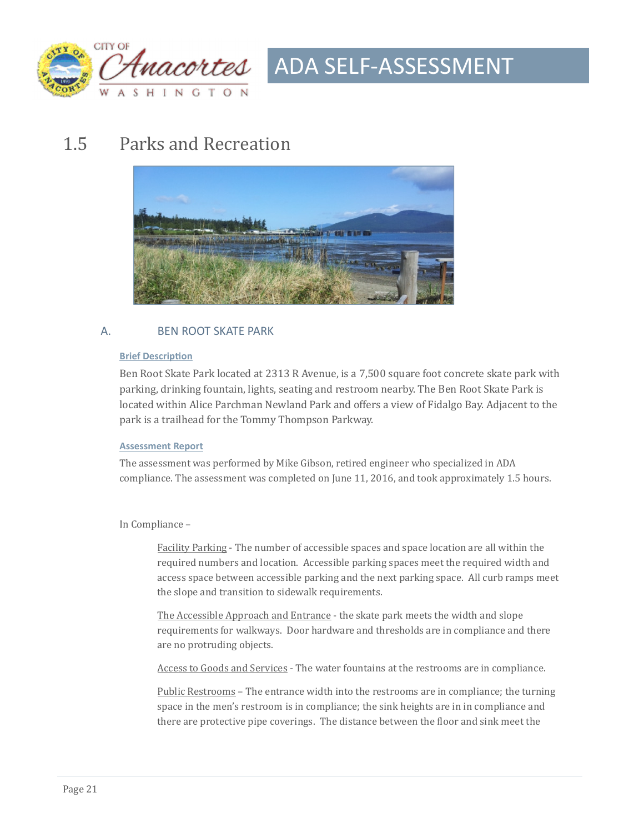

### 1.5 Parks and Recreation



#### A. BEN ROOT SKATE PARK

#### **Brief Description**

Ben Root Skate Park located at 2313 R Avenue, is a 7,500 square foot concrete skate park with parking, drinking fountain, lights, seating and restroom nearby. The Ben Root Skate Park is located within Alice Parchman Newland Park and offers a view of Fidalgo Bay. Adjacent to the park is a trailhead for the Tommy Thompson Parkway.

#### **Assessment Report**

The assessment was performed by Mike Gibson, retired engineer who specialized in ADA compliance. The assessment was completed on June 11, 2016, and took approximately 1.5 hours.

#### In Compliance -

Facility Parking - The number of accessible spaces and space location are all within the required numbers and location. Accessible parking spaces meet the required width and access space between accessible parking and the next parking space. All curb ramps meet the slope and transition to sidewalk requirements.

The Accessible Approach and Entrance - the skate park meets the width and slope requirements for walkways. Door hardware and thresholds are in compliance and there are no protruding objects.

Access to Goods and Services - The water fountains at the restrooms are in compliance.

Public Restrooms – The entrance width into the restrooms are in compliance; the turning space in the men's restroom is in compliance; the sink heights are in in compliance and there are protective pipe coverings. The distance between the floor and sink meet the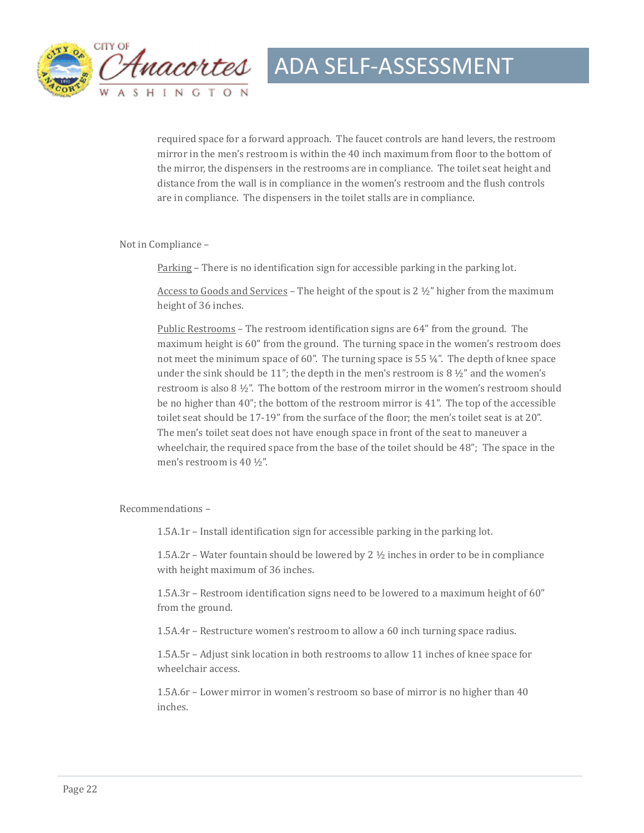

required space for a forward approach. The faucet controls are hand levers, the restroom mirror in the men's restroom is within the 40 inch maximum from floor to the bottom of the mirror, the dispensers in the restrooms are in compliance. The toilet seat height and distance from the wall is in compliance in the women's restroom and the flush controls are in compliance. The dispensers in the toilet stalls are in compliance.

Not in Compliance -

Parking – There is no identification sign for accessible parking in the parking lot.

Access to Goods and Services – The height of the spout is  $2 \frac{1}{2}$ " higher from the maximum height of 36 inches.

Public Restrooms – The restroom identification signs are  $64$ " from the ground. The maximum height is  $60$ " from the ground. The turning space in the women's restroom does not meet the minimum space of 60". The turning space is 55  $\frac{1}{4}$ ". The depth of knee space under the sink should be 11"; the depth in the men's restroom is  $8 \frac{1}{2}$ " and the women's restroom is also  $8\frac{1}{2}$ ". The bottom of the restroom mirror in the women's restroom should be no higher than  $40$ "; the bottom of the restroom mirror is  $41$ ". The top of the accessible toilet seat should be 17-19" from the surface of the floor; the men's toilet seat is at 20". The men's toilet seat does not have enough space in front of the seat to maneuver a wheelchair, the required space from the base of the toilet should be  $48$ "; The space in the men's restroom is 40 ½".

Recommendations -

1.5A.1r - Install identification sign for accessible parking in the parking lot.

1.5A.2r – Water fountain should be lowered by 2  $\frac{1}{2}$  inches in order to be in compliance with height maximum of 36 inches.

 $1.5A.3r$  – Restroom identification signs need to be lowered to a maximum height of 60" from the ground.

1.5A.4r – Restructure women's restroom to allow a 60 inch turning space radius.

1.5A.5r – Adjust sink location in both restrooms to allow 11 inches of knee space for wheelchair access.

1.5A.6r – Lower mirror in women's restroom so base of mirror is no higher than 40 inches.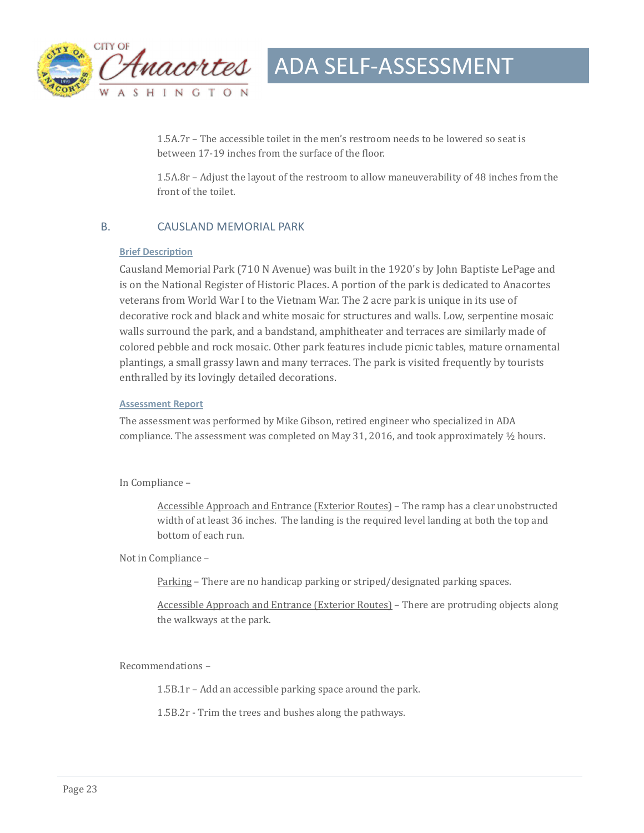

 $1.5A.7r$  – The accessible toilet in the men's restroom needs to be lowered so seat is between 17-19 inches from the surface of the floor.

1.5A.8r – Adjust the layout of the restroom to allow maneuverability of 48 inches from the front of the toilet.

#### B. CAUSLAND MEMORIAL PARK

#### **Brief Description**

Causland Memorial Park (710 N Avenue) was built in the 1920's by John Baptiste LePage and is on the National Register of Historic Places. A portion of the park is dedicated to Anacortes veterans from World War I to the Vietnam War. The 2 acre park is unique in its use of decorative rock and black and white mosaic for structures and walls. Low, serpentine mosaic walls surround the park, and a bandstand, amphitheater and terraces are similarly made of colored pebble and rock mosaic. Other park features include picnic tables, mature ornamental plantings, a small grassy lawn and many terraces. The park is visited frequently by tourists enthralled by its lovingly detailed decorations.

#### **Assessment Report**

The assessment was performed by Mike Gibson, retired engineer who specialized in ADA compliance. The assessment was completed on May 31, 2016, and took approximately  $\frac{1}{2}$  hours.

In Compliance -

Accessible Approach and Entrance (Exterior Routes) – The ramp has a clear unobstructed width of at least 36 inches. The landing is the required level landing at both the top and bottom of each run.

Not in Compliance -

Parking - There are no handicap parking or striped/designated parking spaces.

Accessible Approach and Entrance (Exterior Routes) - There are protruding objects along the walkways at the park.

Recommendations -

 $1.5B.1r$  – Add an accessible parking space around the park.

1.5B.2r - Trim the trees and bushes along the pathways.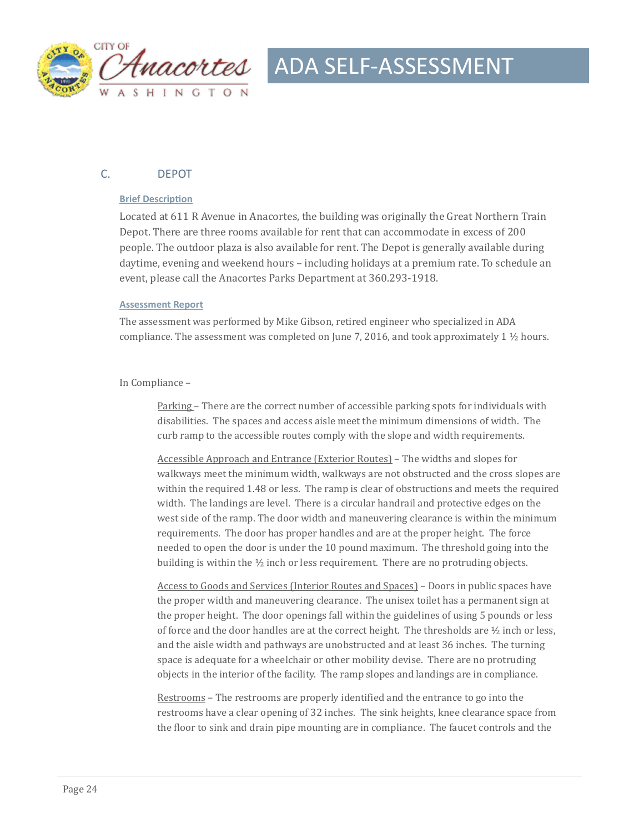

#### C. DEPOT

#### **Brief Description**

Located at 611 R Avenue in Anacortes, the building was originally the Great Northern Train Depot. There are three rooms available for rent that can accommodate in excess of 200 people. The outdoor plaza is also available for rent. The Depot is generally available during daytime, evening and weekend hours – including holidays at a premium rate. To schedule an event, please call the Anacortes Parks Department at 360.293-1918.

#### **Assessment Report**

The assessment was performed by Mike Gibson, retired engineer who specialized in ADA compliance. The assessment was completed on June 7, 2016, and took approximately 1  $\frac{1}{2}$  hours.

#### In Compliance -

<u>Parking</u> – There are the correct number of accessible parking spots for individuals with disabilities. The spaces and access aisle meet the minimum dimensions of width. The curb ramp to the accessible routes comply with the slope and width requirements.

Accessible Approach and Entrance (Exterior Routes) – The widths and slopes for walkways meet the minimum width, walkways are not obstructed and the cross slopes are within the required 1.48 or less. The ramp is clear of obstructions and meets the required width. The landings are level. There is a circular handrail and protective edges on the west side of the ramp. The door width and maneuvering clearance is within the minimum requirements. The door has proper handles and are at the proper height. The force needed to open the door is under the 10 pound maximum. The threshold going into the building is within the  $\frac{1}{2}$  inch or less requirement. There are no protruding objects.

Access to Goods and Services (Interior Routes and Spaces) – Doors in public spaces have the proper width and maneuvering clearance. The unisex toilet has a permanent sign at the proper height. The door openings fall within the guidelines of using 5 pounds or less of force and the door handles are at the correct height. The thresholds are  $\frac{1}{2}$  inch or less, and the aisle width and pathways are unobstructed and at least 36 inches. The turning space is adequate for a wheelchair or other mobility devise. There are no protruding objects in the interior of the facility. The ramp slopes and landings are in compliance.

Restrooms – The restrooms are properly identified and the entrance to go into the restrooms have a clear opening of 32 inches. The sink heights, knee clearance space from the floor to sink and drain pipe mounting are in compliance. The faucet controls and the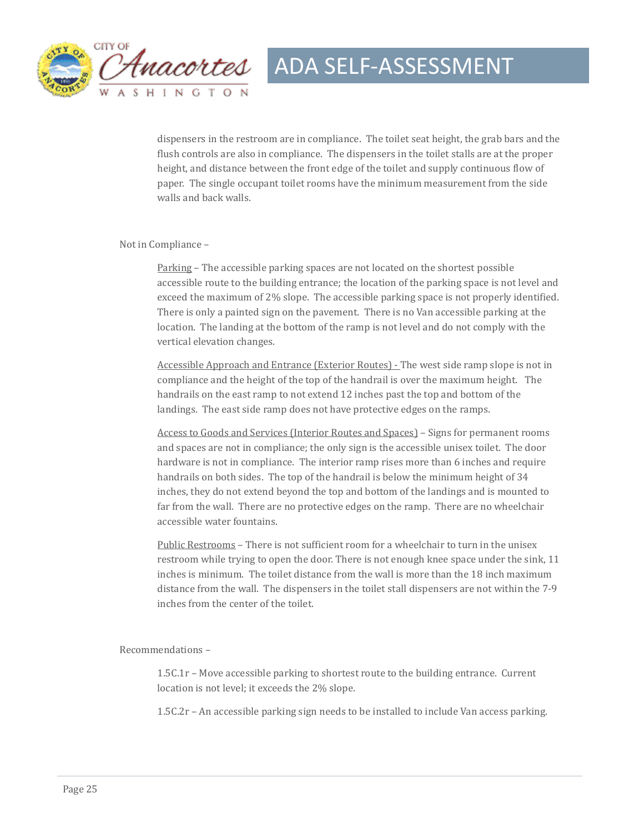

dispensers in the restroom are in compliance. The toilet seat height, the grab bars and the flush controls are also in compliance. The dispensers in the toilet stalls are at the proper height, and distance between the front edge of the toilet and supply continuous flow of paper. The single occupant toilet rooms have the minimum measurement from the side walls and back walls.

#### Not in Compliance -

Parking – The accessible parking spaces are not located on the shortest possible accessible route to the building entrance; the location of the parking space is not level and exceed the maximum of  $2\%$  slope. The accessible parking space is not properly identified. There is only a painted sign on the pavement. There is no Van accessible parking at the location. The landing at the bottom of the ramp is not level and do not comply with the vertical elevation changes.

Accessible Approach and Entrance (Exterior Routes) - The west side ramp slope is not in compliance and the height of the top of the handrail is over the maximum height. The handrails on the east ramp to not extend 12 inches past the top and bottom of the landings. The east side ramp does not have protective edges on the ramps.

Access to Goods and Services (Interior Routes and Spaces) – Signs for permanent rooms and spaces are not in compliance; the only sign is the accessible unisex toilet. The door hardware is not in compliance. The interior ramp rises more than 6 inches and require handrails on both sides. The top of the handrail is below the minimum height of 34 inches, they do not extend beyond the top and bottom of the landings and is mounted to far from the wall. There are no protective edges on the ramp. There are no wheelchair accessible water fountains.

Public Restrooms - There is not sufficient room for a wheelchair to turn in the unisex restroom while trying to open the door. There is not enough knee space under the sink, 11 inches is minimum. The toilet distance from the wall is more than the 18 inch maximum distance from the wall. The dispensers in the toilet stall dispensers are not within the 7-9 inches from the center of the toilet.

Recommendations -

 $1.5C.1r$  – Move accessible parking to shortest route to the building entrance. Current location is not level; it exceeds the 2% slope.

1.5C.2r - An accessible parking sign needs to be installed to include Van access parking.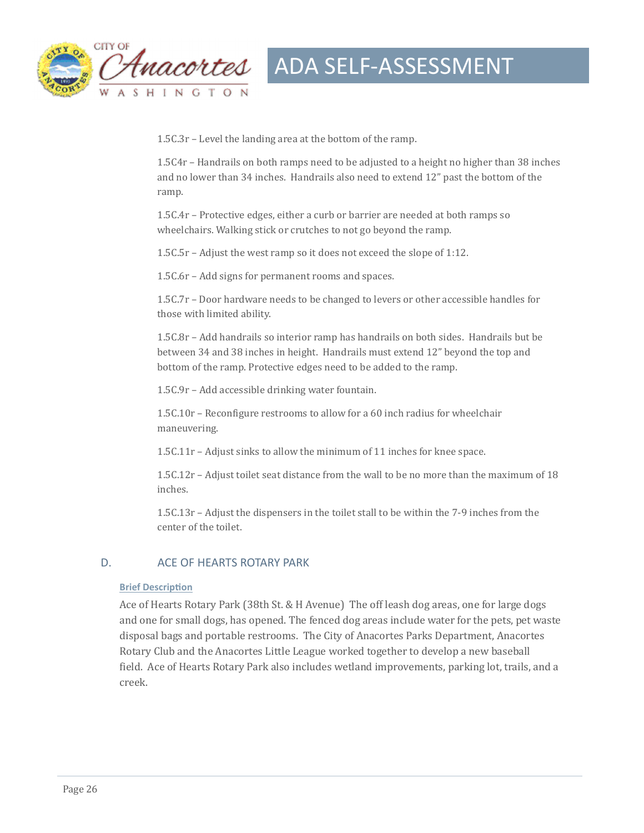

 $1.5C.3r$  – Level the landing area at the bottom of the ramp.

1.5C4r – Handrails on both ramps need to be adjusted to a height no higher than 38 inches and no lower than 34 inches. Handrails also need to extend 12" past the bottom of the ramp. 

1.5C.4r – Protective edges, either a curb or barrier are needed at both ramps so wheelchairs. Walking stick or crutches to not go beyond the ramp.

1.5C.5r – Adjust the west ramp so it does not exceed the slope of 1:12.

1.5C.6r – Add signs for permanent rooms and spaces.

 $1.5C.7r$  – Door hardware needs to be changed to levers or other accessible handles for those with limited ability.

1.5C.8r – Add handrails so interior ramp has handrails on both sides. Handrails but be between 34 and 38 inches in height. Handrails must extend 12" beyond the top and bottom of the ramp. Protective edges need to be added to the ramp.

1.5C.9r – Add accessible drinking water fountain.

 $1.5C.10r$  – Reconfigure restrooms to allow for a 60 inch radius for wheelchair maneuvering. 

1.5C.11 $r$  – Adjust sinks to allow the minimum of 11 inches for knee space.

 $1.5C.12r$  – Adjust toilet seat distance from the wall to be no more than the maximum of 18 inches. 

 $1.5C.13r$  – Adjust the dispensers in the toilet stall to be within the 7-9 inches from the center of the toilet.

#### D. ACE OF HEARTS ROTARY PARK

#### **Brief Description**

Ace of Hearts Rotary Park (38th St. & H Avenue) The off leash dog areas, one for large dogs and one for small dogs, has opened. The fenced dog areas include water for the pets, pet waste disposal bags and portable restrooms. The City of Anacortes Parks Department, Anacortes Rotary Club and the Anacortes Little League worked together to develop a new baseball field. Ace of Hearts Rotary Park also includes wetland improvements, parking lot, trails, and a creek.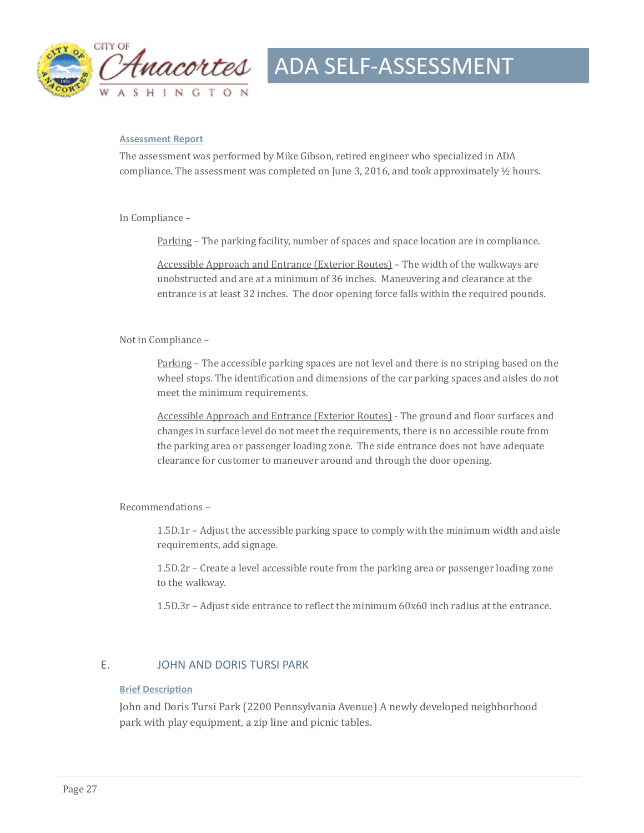

#### **Assessment Report**

The assessment was performed by Mike Gibson, retired engineer who specialized in ADA compliance. The assessment was completed on June 3, 2016, and took approximately  $\frac{1}{2}$  hours.

In Compliance -

Parking – The parking facility, number of spaces and space location are in compliance.

Accessible Approach and Entrance (Exterior Routes) – The width of the walkways are unobstructed and are at a minimum of 36 inches. Maneuvering and clearance at the entrance is at least 32 inches. The door opening force falls within the required pounds.

#### Not in Compliance -

Parking – The accessible parking spaces are not level and there is no striping based on the wheel stops. The identification and dimensions of the car parking spaces and aisles do not meet the minimum requirements.

Accessible Approach and Entrance (Exterior Routes) - The ground and floor surfaces and changes in surface level do not meet the requirements, there is no accessible route from the parking area or passenger loading zone. The side entrance does not have adequate clearance for customer to maneuver around and through the door opening.

Recommendations -

 $1.5D.1r$  – Adjust the accessible parking space to comply with the minimum width and aisle requirements, add signage.

1.5D.2r – Create a level accessible route from the parking area or passenger loading zone to the walkway.

1.5D.3r - Adjust side entrance to reflect the minimum  $60x60$  inch radius at the entrance.

#### E. JOHN AND DORIS TURSI PARK

#### **Brief Description**

John and Doris Tursi Park (2200 Pennsylvania Avenue) A newly developed neighborhood park with play equipment, a zip line and picnic tables.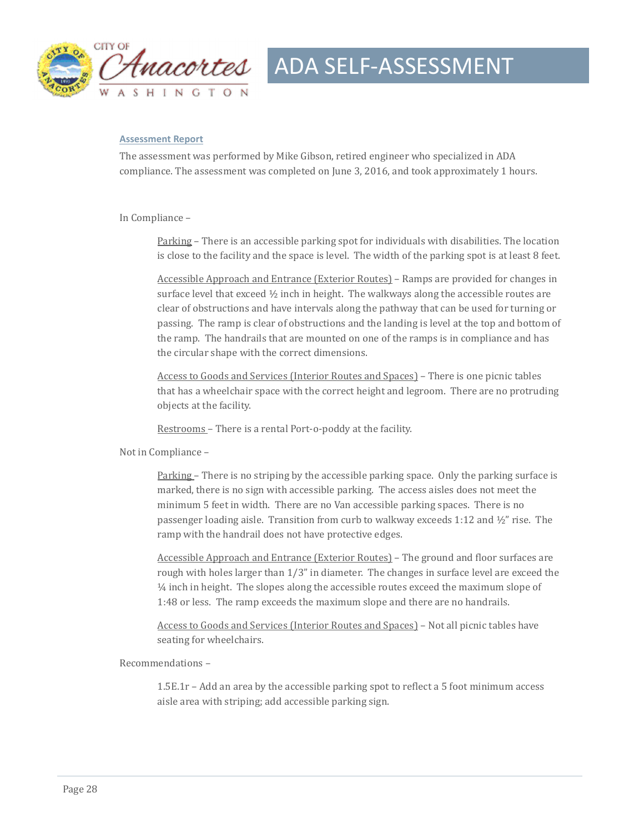

#### **Assessment Report**

The assessment was performed by Mike Gibson, retired engineer who specialized in ADA compliance. The assessment was completed on June 3, 2016, and took approximately 1 hours.

In Compliance -

Parking – There is an accessible parking spot for individuals with disabilities. The location is close to the facility and the space is level. The width of the parking spot is at least  $8$  feet.

Accessible Approach and Entrance (Exterior Routes) – Ramps are provided for changes in surface level that exceed  $\frac{1}{2}$  inch in height. The walkways along the accessible routes are clear of obstructions and have intervals along the pathway that can be used for turning or passing. The ramp is clear of obstructions and the landing is level at the top and bottom of the ramp. The handrails that are mounted on one of the ramps is in compliance and has the circular shape with the correct dimensions.

Access to Goods and Services (Interior Routes and Spaces) – There is one picnic tables that has a wheelchair space with the correct height and legroom. There are no protruding objects at the facility.

Restrooms - There is a rental Port-o-poddy at the facility.

Not in Compliance -

Parking – There is no striping by the accessible parking space. Only the parking surface is marked, there is no sign with accessible parking. The access aisles does not meet the minimum 5 feet in width. There are no Van accessible parking spaces. There is no passenger loading aisle. Transition from curb to walkway exceeds  $1:12$  and  $\frac{1}{2}$ " rise. The ramp with the handrail does not have protective edges.

Accessible Approach and Entrance (Exterior Routes) – The ground and floor surfaces are rough with holes larger than  $1/3$ " in diameter. The changes in surface level are exceed the  $\frac{1}{4}$  inch in height. The slopes along the accessible routes exceed the maximum slope of 1:48 or less. The ramp exceeds the maximum slope and there are no handrails.

Access to Goods and Services (Interior Routes and Spaces) - Not all picnic tables have seating for wheelchairs.

Recommendations – 

 $1.5E.1r - Add$  an area by the accessible parking spot to reflect a 5 foot minimum access aisle area with striping; add accessible parking sign.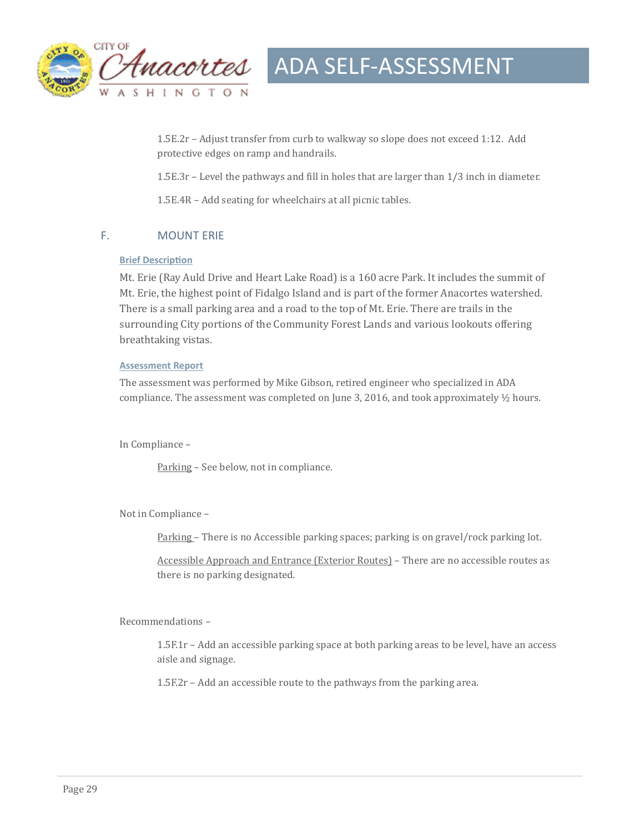

1.5E.2r - Adjust transfer from curb to walkway so slope does not exceed 1:12. Add protective edges on ramp and handrails.

1.5E.3r – Level the pathways and fill in holes that are larger than  $1/3$  inch in diameter.

1.5E.4R – Add seating for wheelchairs at all picnic tables.

#### F. MOUNT ERIE

#### **Brief Description**

Mt. Erie (Ray Auld Drive and Heart Lake Road) is a 160 acre Park. It includes the summit of Mt. Erie, the highest point of Fidalgo Island and is part of the former Anacortes watershed. There is a small parking area and a road to the top of Mt. Erie. There are trails in the surrounding City portions of the Community Forest Lands and various lookouts offering breathtaking vistas.

#### **Assessment Report**

The assessment was performed by Mike Gibson, retired engineer who specialized in ADA compliance. The assessment was completed on June 3, 2016, and took approximately  $\frac{1}{2}$  hours.

In Compliance -

Parking - See below, not in compliance.

Not in Compliance -

Parking – There is no Accessible parking spaces; parking is on gravel/rock parking lot.

Accessible Approach and Entrance (Exterior Routes) - There are no accessible routes as there is no parking designated.

Recommendations -

1.5F.1r - Add an accessible parking space at both parking areas to be level, have an access aisle and signage.

 $1.5F.2r$  – Add an accessible route to the pathways from the parking area.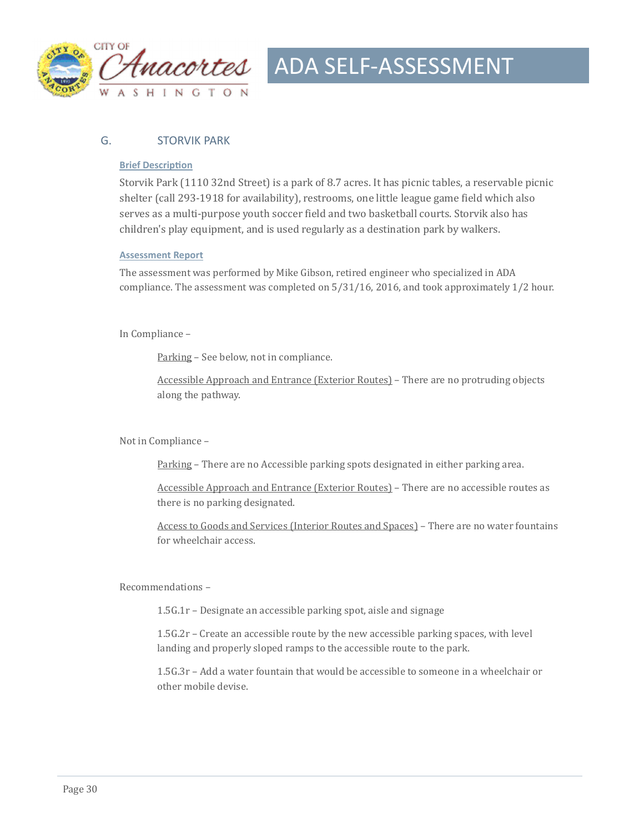

#### G. STORVIK PARK

#### **Brief Description**

Storvik Park (1110 32nd Street) is a park of 8.7 acres. It has picnic tables, a reservable picnic shelter (call 293-1918 for availability), restrooms, one little league game field which also serves as a multi-purpose youth soccer field and two basketball courts. Storvik also has children's play equipment, and is used regularly as a destination park by walkers.

#### **Assessment Report**

The assessment was performed by Mike Gibson, retired engineer who specialized in ADA compliance. The assessment was completed on  $5/31/16$ , 2016, and took approximately  $1/2$  hour.

In Compliance -

Parking - See below, not in compliance.

Accessible Approach and Entrance (Exterior Routes) – There are no protruding objects along the pathway.

Not in Compliance -

Parking – There are no Accessible parking spots designated in either parking area.

Accessible Approach and Entrance (Exterior Routes) – There are no accessible routes as there is no parking designated.

Access to Goods and Services (Interior Routes and Spaces) - There are no water fountains for wheelchair access.

Recommendations -

 $1.5G.1r$  – Designate an accessible parking spot, aisle and signage

 $1.5G.2r$  – Create an accessible route by the new accessible parking spaces, with level landing and properly sloped ramps to the accessible route to the park.

1.5G.3r - Add a water fountain that would be accessible to someone in a wheelchair or other mobile devise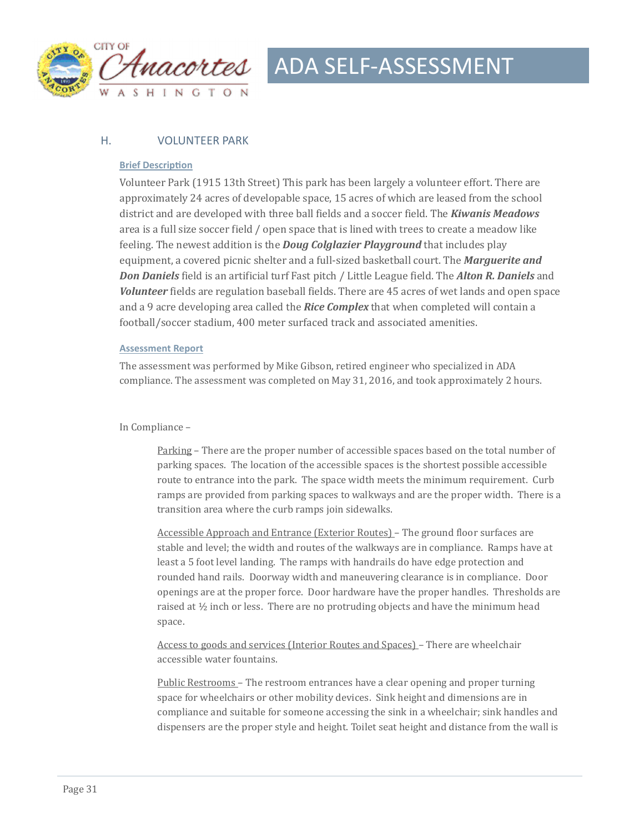

#### H. VOLUNTEER PARK

#### **Brief Description**

Volunteer Park (1915 13th Street) This park has been largely a volunteer effort. There are approximately 24 acres of developable space, 15 acres of which are leased from the school district and are developed with three ball fields and a soccer field. The **Kiwanis Meadows** area is a full size soccer field / open space that is lined with trees to create a meadow like feeling. The newest addition is the *Doug Colglazier Playground* that includes play equipment, a covered picnic shelter and a full-sized basketball court. The **Marguerite and Don Daniels** field is an artificial turf Fast pitch / Little League field. The *Alton R. Daniels* and *Volunteer* fields are regulation baseball fields. There are 45 acres of wet lands and open space and a 9 acre developing area called the *Rice Complex* that when completed will contain a football/soccer stadium, 400 meter surfaced track and associated amenities.

#### **Assessment Report**

The assessment was performed by Mike Gibson, retired engineer who specialized in ADA compliance. The assessment was completed on May 31, 2016, and took approximately 2 hours.

#### In Compliance -

Parking – There are the proper number of accessible spaces based on the total number of parking spaces. The location of the accessible spaces is the shortest possible accessible route to entrance into the park. The space width meets the minimum requirement. Curb ramps are provided from parking spaces to walkways and are the proper width. There is a transition area where the curb ramps join sidewalks.

Accessible Approach and Entrance (Exterior Routes) – The ground floor surfaces are stable and level; the width and routes of the walkways are in compliance. Ramps have at least a 5 foot level landing. The ramps with handrails do have edge protection and rounded hand rails. Doorway width and maneuvering clearance is in compliance. Door openings are at the proper force. Door hardware have the proper handles. Thresholds are raised at  $\frac{1}{2}$  inch or less. There are no protruding objects and have the minimum head space. 

Access to goods and services (Interior Routes and Spaces) – There are wheelchair accessible water fountains.

Public Restrooms – The restroom entrances have a clear opening and proper turning space for wheelchairs or other mobility devices. Sink height and dimensions are in compliance and suitable for someone accessing the sink in a wheelchair; sink handles and dispensers are the proper style and height. Toilet seat height and distance from the wall is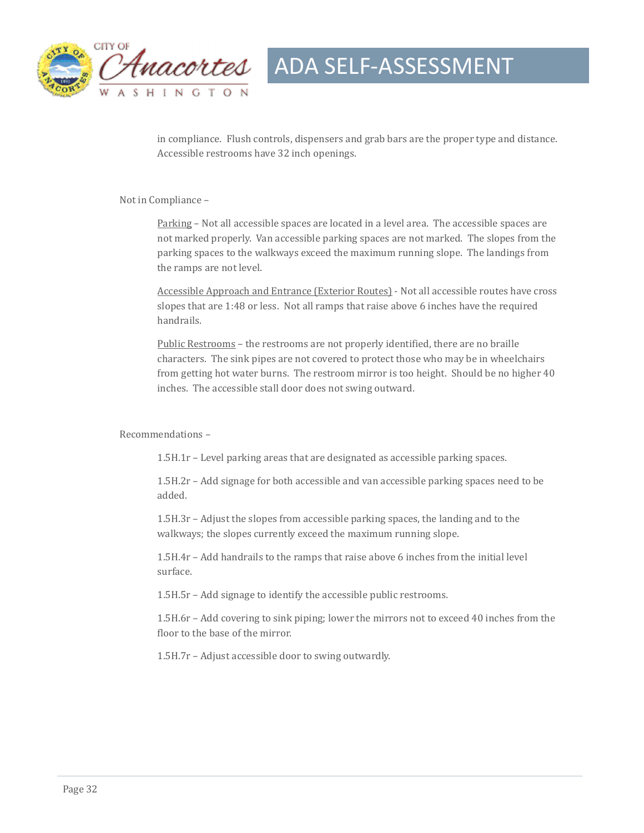

in compliance. Flush controls, dispensers and grab bars are the proper type and distance. Accessible restrooms have 32 inch openings.

Not in Compliance -

Parking – Not all accessible spaces are located in a level area. The accessible spaces are not marked properly. Van accessible parking spaces are not marked. The slopes from the parking spaces to the walkways exceed the maximum running slope. The landings from the ramps are not level.

Accessible Approach and Entrance (Exterior Routes) - Not all accessible routes have cross slopes that are  $1:48$  or less. Not all ramps that raise above 6 inches have the required handrails. 

Public Restrooms – the restrooms are not properly identified, there are no braille characters. The sink pipes are not covered to protect those who may be in wheelchairs from getting hot water burns. The restroom mirror is too height. Should be no higher 40 inches. The accessible stall door does not swing outward.

Recommendations -

 $1.5H.1r$  – Level parking areas that are designated as accessible parking spaces.

 $1.5H.2r$  – Add signage for both accessible and van accessible parking spaces need to be added. 

 $1.5H.3r$  – Adjust the slopes from accessible parking spaces, the landing and to the walkways; the slopes currently exceed the maximum running slope.

1.5H.4r - Add handrails to the ramps that raise above 6 inches from the initial level surface. 

1.5H.5r - Add signage to identify the accessible public restrooms.

1.5H.6r – Add covering to sink piping; lower the mirrors not to exceed 40 inches from the floor to the base of the mirror.

1.5H.7r – Adjust accessible door to swing outwardly.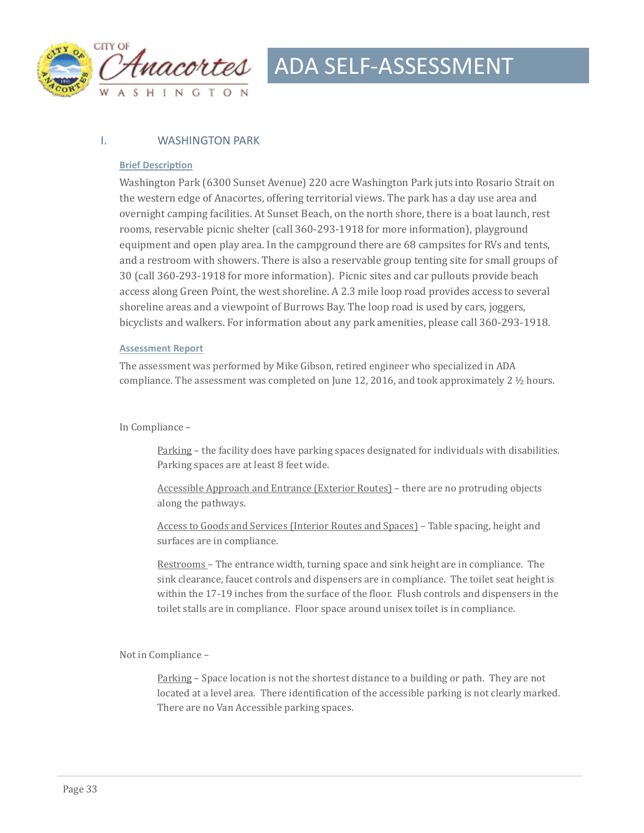

#### I. WASHINGTON PARK

#### **Brief Description**

Washington Park (6300 Sunset Avenue) 220 acre Washington Park juts into Rosario Strait on the western edge of Anacortes, offering territorial views. The park has a day use area and overnight camping facilities. At Sunset Beach, on the north shore, there is a boat launch, rest rooms, reservable picnic shelter (call 360-293-1918 for more information), playground equipment and open play area. In the campground there are 68 campsites for RVs and tents, and a restroom with showers. There is also a reservable group tenting site for small groups of 30 (call 360-293-1918 for more information). Picnic sites and car pullouts provide beach access along Green Point, the west shoreline. A 2.3 mile loop road provides access to several shoreline areas and a viewpoint of Burrows Bay. The loop road is used by cars, joggers, bicyclists and walkers. For information about any park amenities, please call 360-293-1918.

#### **Assessment Report**

The assessment was performed by Mike Gibson, retired engineer who specialized in ADA compliance. The assessment was completed on June 12, 2016, and took approximately 2  $\frac{1}{2}$  hours.

#### In Compliance -

Parking – the facility does have parking spaces designated for individuals with disabilities. Parking spaces are at least 8 feet wide.

Accessible Approach and Entrance (Exterior Routes) – there are no protruding objects along the pathways.

Access to Goods and Services (Interior Routes and Spaces) - Table spacing, height and surfaces are in compliance.

Restrooms – The entrance width, turning space and sink height are in compliance. The sink clearance, faucet controls and dispensers are in compliance. The toilet seat height is within the 17-19 inches from the surface of the floor. Flush controls and dispensers in the toilet stalls are in compliance. Floor space around unisex toilet is in compliance.

Not in Compliance -

Parking – Space location is not the shortest distance to a building or path. They are not located at a level area. There identification of the accessible parking is not clearly marked. There are no Van Accessible parking spaces.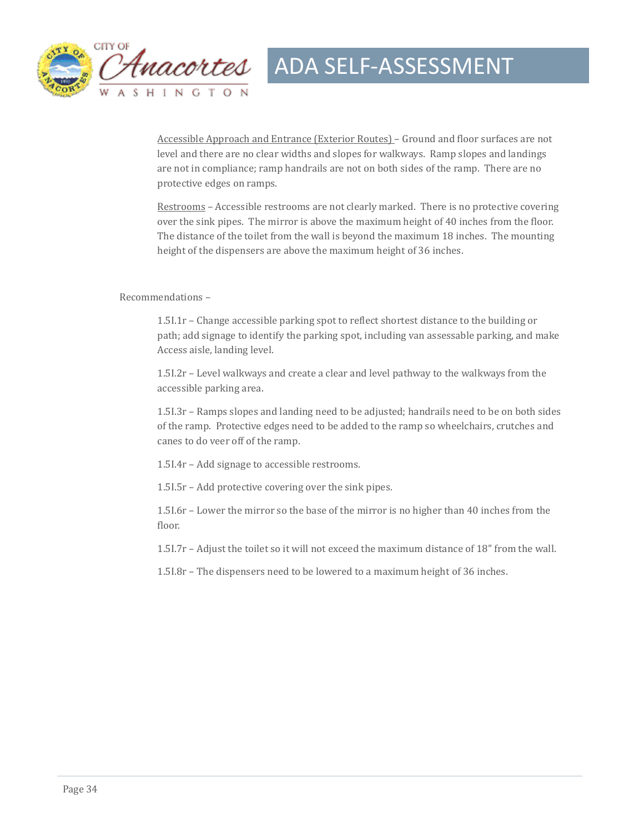

Accessible Approach and Entrance (Exterior Routes) – Ground and floor surfaces are not level and there are no clear widths and slopes for walkways. Ramp slopes and landings are not in compliance; ramp handrails are not on both sides of the ramp. There are no protective edges on ramps.

Restrooms – Accessible restrooms are not clearly marked. There is no protective covering over the sink pipes. The mirror is above the maximum height of 40 inches from the floor. The distance of the toilet from the wall is beyond the maximum 18 inches. The mounting height of the dispensers are above the maximum height of 36 inches.

#### Recommendations -

1.5I.1r - Change accessible parking spot to reflect shortest distance to the building or path; add signage to identify the parking spot, including van assessable parking, and make Access aisle, landing level.

1.5I.2r - Level walkways and create a clear and level pathway to the walkways from the accessible parking area.

 $1.5I.3r$  – Ramps slopes and landing need to be adjusted; handrails need to be on both sides of the ramp. Protective edges need to be added to the ramp so wheelchairs, crutches and canes to do veer off of the ramp.

1.5I.4r - Add signage to accessible restrooms.

1.51.5r – Add protective covering over the sink pipes.

1.5I.6r – Lower the mirror so the base of the mirror is no higher than 40 inches from the floor. 

1.5I.7r - Adjust the toilet so it will not exceed the maximum distance of 18" from the wall.

 $1.5I.8r$  – The dispensers need to be lowered to a maximum height of 36 inches.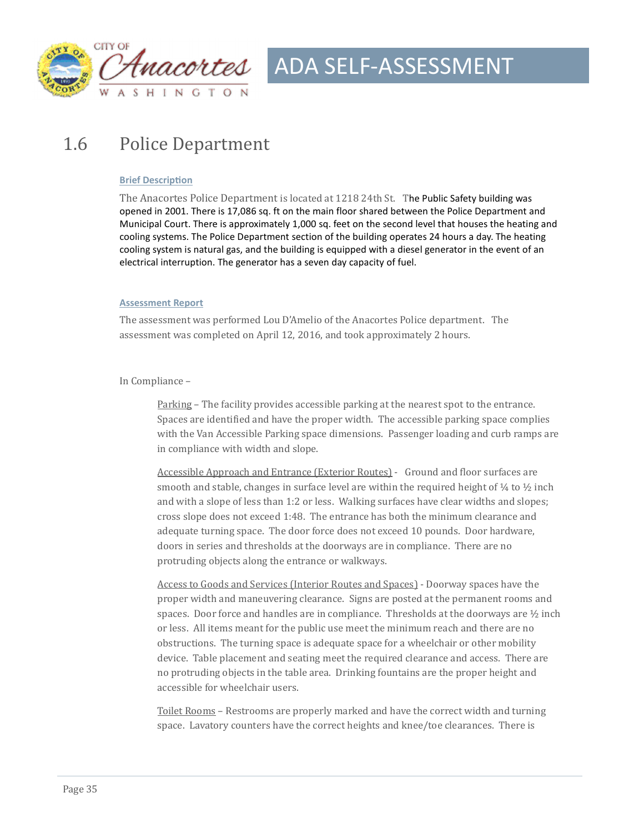

### 1.6 Police Department

#### **Brief Description**

The Anacortes Police Department is located at 1218 24th St. The Public Safety building was opened in 2001. There is 17,086 sq. ft on the main floor shared between the Police Department and Municipal Court. There is approximately 1,000 sq. feet on the second level that houses the heating and cooling systems. The Police Department section of the building operates 24 hours a day. The heating cooling system is natural gas, and the building is equipped with a diesel generator in the event of an electrical interruption. The generator has a seven day capacity of fuel.

#### **Assessment Report**

The assessment was performed Lou D'Amelio of the Anacortes Police department. The assessment was completed on April 12, 2016, and took approximately 2 hours.

#### In Compliance -

Parking – The facility provides accessible parking at the nearest spot to the entrance. Spaces are identified and have the proper width. The accessible parking space complies with the Van Accessible Parking space dimensions. Passenger loading and curb ramps are in compliance with width and slope.

Accessible Approach and Entrance (Exterior Routes) - Ground and floor surfaces are smooth and stable, changes in surface level are within the required height of  $\frac{1}{4}$  to  $\frac{1}{2}$  inch and with a slope of less than 1:2 or less. Walking surfaces have clear widths and slopes; cross slope does not exceed 1:48. The entrance has both the minimum clearance and adequate turning space. The door force does not exceed 10 pounds. Door hardware, doors in series and thresholds at the doorways are in compliance. There are no protruding objects along the entrance or walkways.

Access to Goods and Services (Interior Routes and Spaces) - Doorway spaces have the proper width and maneuvering clearance. Signs are posted at the permanent rooms and spaces. Door force and handles are in compliance. Thresholds at the doorways are  $\frac{1}{2}$  inch or less. All items meant for the public use meet the minimum reach and there are no obstructions. The turning space is adequate space for a wheelchair or other mobility device. Table placement and seating meet the required clearance and access. There are no protruding objects in the table area. Drinking fountains are the proper height and accessible for wheelchair users.

Toilet Rooms - Restrooms are properly marked and have the correct width and turning space. Lavatory counters have the correct heights and knee/toe clearances. There is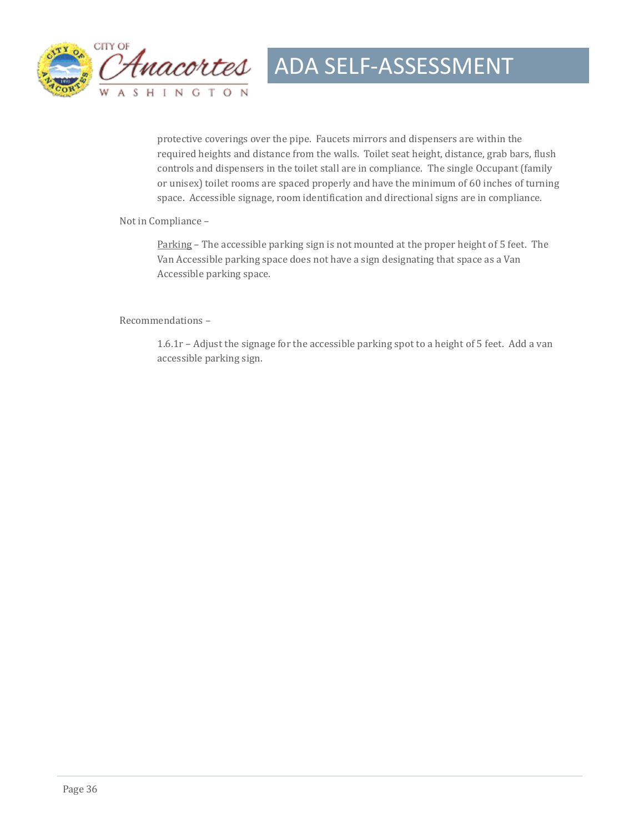

protective coverings over the pipe. Faucets mirrors and dispensers are within the required heights and distance from the walls. Toilet seat height, distance, grab bars, flush controls and dispensers in the toilet stall are in compliance. The single Occupant (family or unisex) toilet rooms are spaced properly and have the minimum of 60 inches of turning space. Accessible signage, room identification and directional signs are in compliance.

Not in Compliance -

Parking – The accessible parking sign is not mounted at the proper height of 5 feet. The Van Accessible parking space does not have a sign designating that space as a Van Accessible parking space.

Recommendations -

 $1.6.1r -$  Adjust the signage for the accessible parking spot to a height of 5 feet. Add a van accessible parking sign.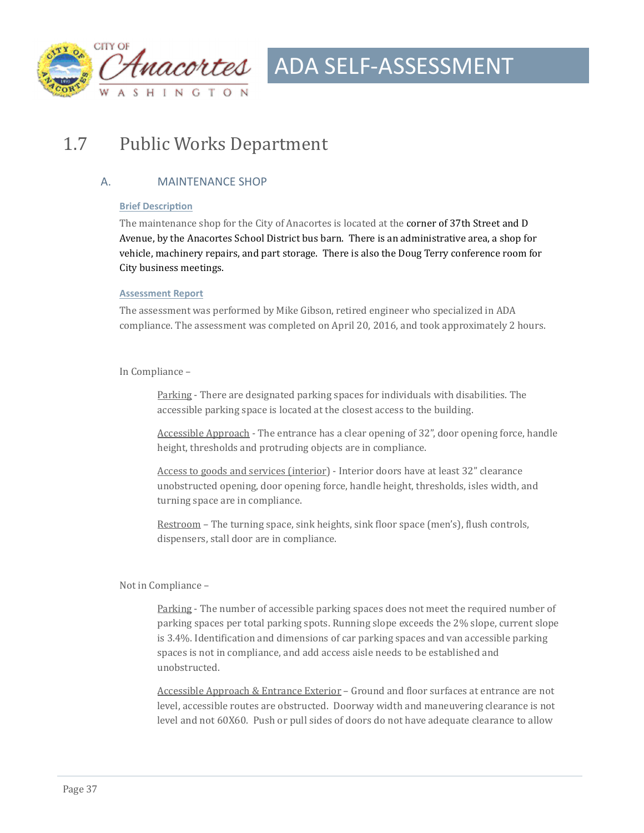

### 1.7 Public Works Department

#### A. MAINTENANCE SHOP

#### **Brief Description**

The maintenance shop for the City of Anacortes is located at the **corner of 37th Street and D** Avenue, by the Anacortes School District bus barn. There is an administrative area, a shop for vehicle, machinery repairs, and part storage. There is also the Doug Terry conference room for City business meetings.

#### **Assessment Report**

The assessment was performed by Mike Gibson, retired engineer who specialized in ADA compliance. The assessment was completed on April 20, 2016, and took approximately 2 hours.

#### In Compliance -

Parking - There are designated parking spaces for individuals with disabilities. The accessible parking space is located at the closest access to the building.

Accessible Approach - The entrance has a clear opening of 32", door opening force, handle height, thresholds and protruding objects are in compliance.

Access to goods and services (interior) - Interior doors have at least 32" clearance unobstructed opening, door opening force, handle height, thresholds, isles width, and turning space are in compliance.

Restroom – The turning space, sink heights, sink floor space (men's), flush controls, dispensers, stall door are in compliance.

#### Not in Compliance -

Parking - The number of accessible parking spaces does not meet the required number of parking spaces per total parking spots. Running slope exceeds the 2% slope, current slope is  $3.4\%$ . Identification and dimensions of car parking spaces and van accessible parking spaces is not in compliance, and add access aisle needs to be established and unobstructed. 

Accessible Approach & Entrance Exterior – Ground and floor surfaces at entrance are not level, accessible routes are obstructed. Doorway width and maneuvering clearance is not level and not 60X60. Push or pull sides of doors do not have adequate clearance to allow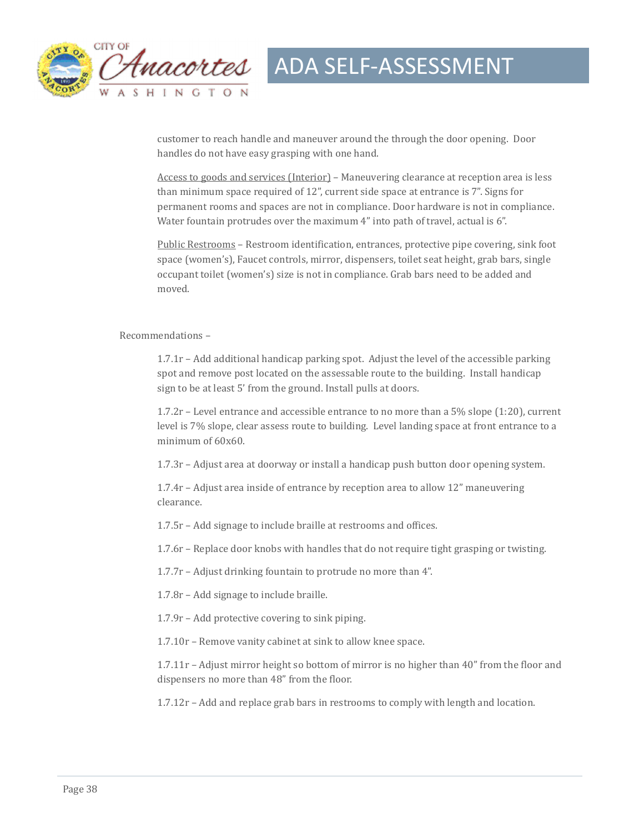

customer to reach handle and maneuver around the through the door opening. Door handles do not have easy grasping with one hand.

Access to goods and services (Interior) – Maneuvering clearance at reception area is less than minimum space required of  $12$ ", current side space at entrance is  $7$ ". Signs for permanent rooms and spaces are not in compliance. Door hardware is not in compliance. Water fountain protrudes over the maximum  $4$ " into path of travel, actual is  $6$ ".

Public Restrooms - Restroom identification, entrances, protective pipe covering, sink foot space (women's), Faucet controls, mirror, dispensers, toilet seat height, grab bars, single occupant toilet (women's) size is not in compliance. Grab bars need to be added and moved. 

#### Recommendations –

1.7.1r - Add additional handicap parking spot. Adjust the level of the accessible parking spot and remove post located on the assessable route to the building. Install handicap sign to be at least 5' from the ground. Install pulls at doors.

 $1.7.2r$  – Level entrance and accessible entrance to no more than a 5% slope (1:20), current level is 7% slope, clear assess route to building. Level landing space at front entrance to a minimum of  $60x60$ .

 $1.7.3r$  – Adjust area at doorway or install a handicap push button door opening system.

 $1.7.4r$  – Adjust area inside of entrance by reception area to allow  $12<sup>''</sup>$  maneuvering clearance. 

1.7.5r – Add signage to include braille at restrooms and offices.

1.7.6r - Replace door knobs with handles that do not require tight grasping or twisting.

1.7.7 $r$  – Adjust drinking fountain to protrude no more than 4".

1.7.8r - Add signage to include braille.

 $1.7.9r$  – Add protective covering to sink piping.

1.7.10r - Remove vanity cabinet at sink to allow knee space.

1.7.11r – Adjust mirror height so bottom of mirror is no higher than  $40''$  from the floor and dispensers no more than 48" from the floor.

 $1.7.12r - Add$  and replace grab bars in restrooms to comply with length and location.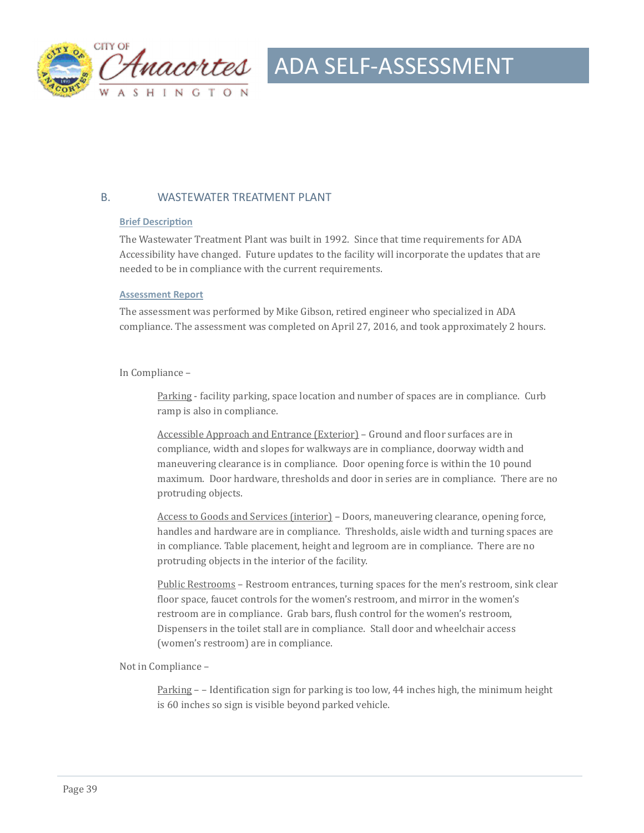

#### B. WASTEWATER TREATMENT PLANT

#### **Brief Description**

The Wastewater Treatment Plant was built in 1992. Since that time requirements for ADA Accessibility have changed. Future updates to the facility will incorporate the updates that are needed to be in compliance with the current requirements.

#### **Assessment Report**

The assessment was performed by Mike Gibson, retired engineer who specialized in ADA compliance. The assessment was completed on April 27, 2016, and took approximately 2 hours.

#### In Compliance -

Parking - facility parking, space location and number of spaces are in compliance. Curb ramp is also in compliance.

Accessible Approach and Entrance (Exterior) - Ground and floor surfaces are in compliance, width and slopes for walkways are in compliance, doorway width and maneuvering clearance is in compliance. Door opening force is within the 10 pound maximum. Door hardware, thresholds and door in series are in compliance. There are no protruding objects.

Access to Goods and Services (interior) - Doors, maneuvering clearance, opening force, handles and hardware are in compliance. Thresholds, aisle width and turning spaces are in compliance. Table placement, height and legroom are in compliance. There are no protruding objects in the interior of the facility.

Public Restrooms – Restroom entrances, turning spaces for the men's restroom, sink clear floor space, faucet controls for the women's restroom, and mirror in the women's restroom are in compliance. Grab bars, flush control for the women's restroom, Dispensers in the toilet stall are in compliance. Stall door and wheelchair access (women's restroom) are in compliance.

Not in Compliance -

Parking  $-$  - Identification sign for parking is too low, 44 inches high, the minimum height is 60 inches so sign is visible beyond parked vehicle.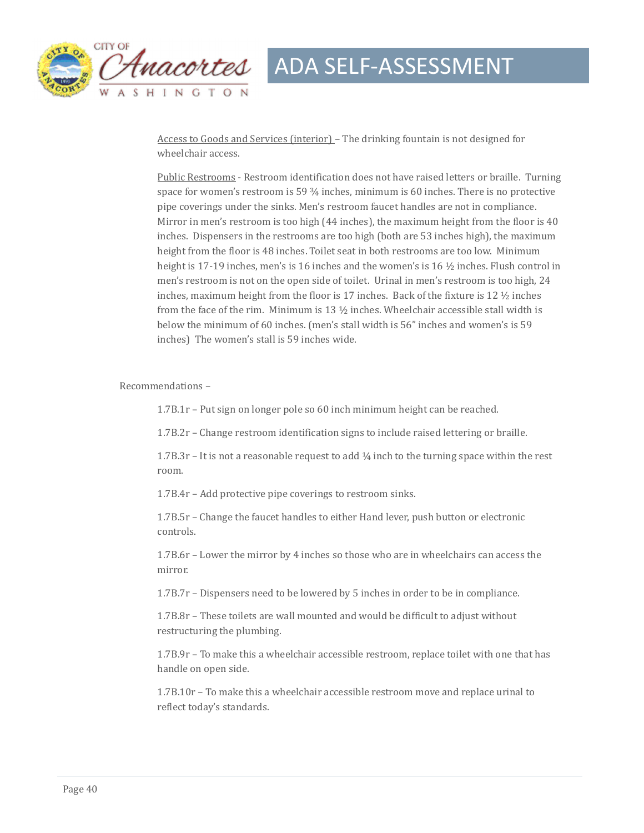

Access to Goods and Services (interior) - The drinking fountain is not designed for wheelchair access.

Public Restrooms - Restroom identification does not have raised letters or braille. Turning space for women's restroom is 59  $\frac{3}{4}$  inches, minimum is 60 inches. There is no protective pipe coverings under the sinks. Men's restroom faucet handles are not in compliance. Mirror in men's restroom is too high  $(44$  inches), the maximum height from the floor is 40 inches. Dispensers in the restrooms are too high (both are 53 inches high), the maximum height from the floor is 48 inches. Toilet seat in both restrooms are too low. Minimum height is 17-19 inches, men's is 16 inches and the women's is 16  $\frac{1}{2}$  inches. Flush control in men's restroom is not on the open side of toilet. Urinal in men's restroom is too high, 24 inches, maximum height from the floor is 17 inches. Back of the fixture is 12  $\frac{1}{2}$  inches from the face of the rim. Minimum is 13  $1/2$  inches. Wheelchair accessible stall width is below the minimum of 60 inches. (men's stall width is 56" inches and women's is 59 inches) The women's stall is 59 inches wide.

Recommendations -

1.7B.1r - Put sign on longer pole so 60 inch minimum height can be reached.

1.7B.2r – Change restroom identification signs to include raised lettering or braille.

1.7B.3r – It is not a reasonable request to add  $\frac{1}{4}$  inch to the turning space within the rest room. 

1.7B.4r – Add protective pipe coverings to restroom sinks.

1.7B.5r – Change the faucet handles to either Hand lever, push button or electronic controls. 

1.7B.6r – Lower the mirror by 4 inches so those who are in wheelchairs can access the mirror. 

1.7B.7r – Dispensers need to be lowered by 5 inches in order to be in compliance.

1.7B.8r – These toilets are wall mounted and would be difficult to adjust without restructuring the plumbing.

1.7B.9r - To make this a wheelchair accessible restroom, replace toilet with one that has handle on open side.

 $1.7B.10r$  – To make this a wheelchair accessible restroom move and replace urinal to reflect today's standards.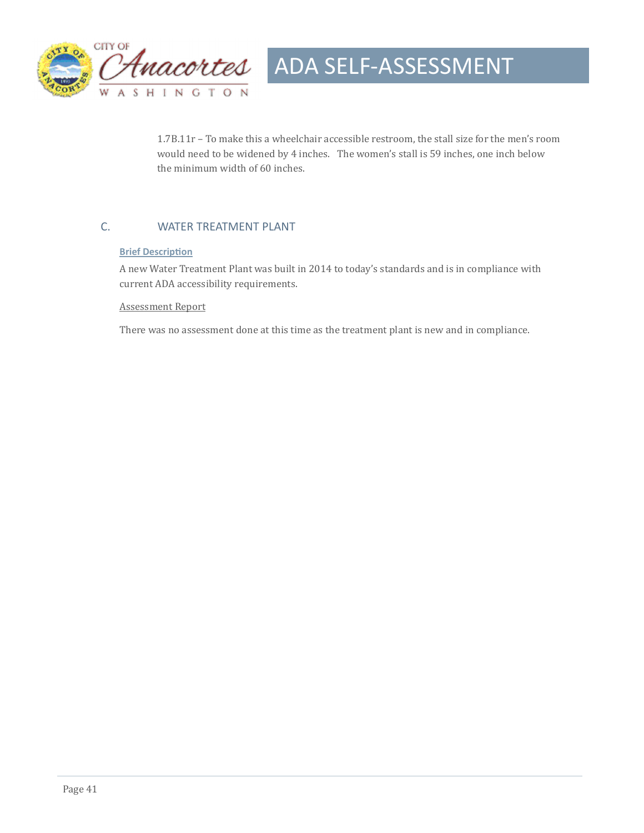

1.7B.11r - To make this a wheelchair accessible restroom, the stall size for the men's room would need to be widened by 4 inches. The women's stall is 59 inches, one inch below the minimum width of 60 inches.

#### C. WATER TREATMENT PLANT

#### **Brief Description**

A new Water Treatment Plant was built in 2014 to today's standards and is in compliance with current ADA accessibility requirements.

#### **Assessment Report**

There was no assessment done at this time as the treatment plant is new and in compliance.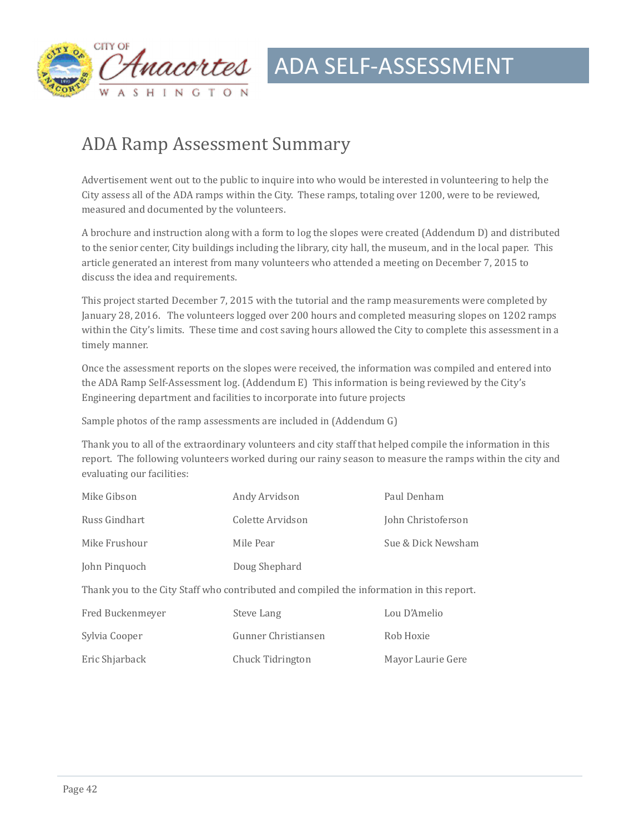

### ADA Ramp Assessment Summary

Advertisement went out to the public to inquire into who would be interested in volunteering to help the City assess all of the ADA ramps within the City. These ramps, totaling over 1200, were to be reviewed, measured and documented by the volunteers.

A brochure and instruction along with a form to log the slopes were created (Addendum D) and distributed to the senior center, City buildings including the library, city hall, the museum, and in the local paper. This article generated an interest from many volunteers who attended a meeting on December 7, 2015 to discuss the idea and requirements.

This project started December 7, 2015 with the tutorial and the ramp measurements were completed by January 28, 2016. The volunteers logged over 200 hours and completed measuring slopes on 1202 ramps within the City's limits. These time and cost saving hours allowed the City to complete this assessment in a timely manner.

Once the assessment reports on the slopes were received, the information was compiled and entered into the ADA Ramp Self-Assessment log. (Addendum E) This information is being reviewed by the City's Engineering department and facilities to incorporate into future projects

Sample photos of the ramp assessments are included in  $(Addendum G)$ 

Thank you to all of the extraordinary volunteers and city staff that helped compile the information in this report. The following volunteers worked during our rainy season to measure the ramps within the city and evaluating our facilities:

| Mike Gibson                                                                              | Andy Arvidson       | Paul Denham        |  |  |
|------------------------------------------------------------------------------------------|---------------------|--------------------|--|--|
| Russ Gindhart                                                                            | Colette Arvidson    | John Christoferson |  |  |
| Mike Frushour                                                                            | Mile Pear           | Sue & Dick Newsham |  |  |
| John Pinquoch                                                                            | Doug Shephard       |                    |  |  |
| Thank you to the City Staff who contributed and compiled the information in this report. |                     |                    |  |  |
| Fred Buckenmeyer                                                                         | Steve Lang          | Lou D'Amelio       |  |  |
| Sylvia Cooper                                                                            | Gunner Christiansen | Rob Hoxie          |  |  |
| Eric Shjarback                                                                           | Chuck Tidrington    | Mayor Laurie Gere  |  |  |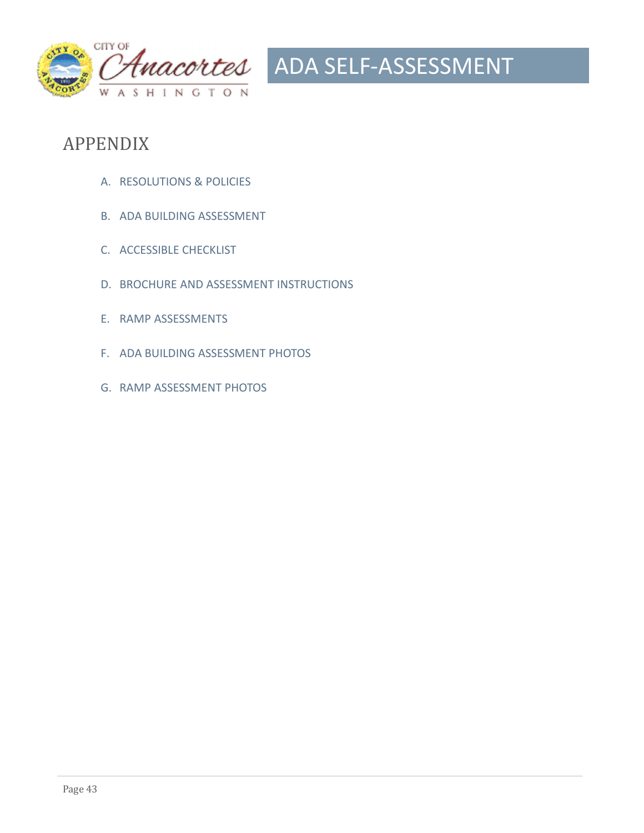

### APPENDIX

- A. RESOLUTIONS & POLICIES
- B. ADA BUILDING ASSESSMENT
- C. ACCESSIBLE CHECKLIST
- D. BROCHURE AND ASSESSMENT INSTRUCTIONS
- E. RAMP ASSESSMENTS
- F. ADA BUILDING ASSESSMENT PHOTOS
- G. RAMP ASSESSMENT PHOTOS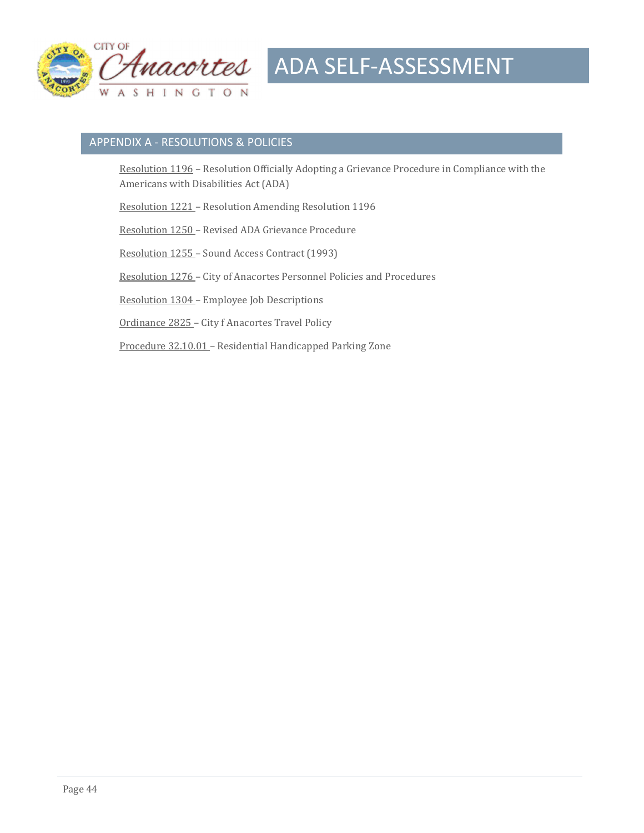

#### APPENDIX A - RESOLUTIONS & POLICIES

Resolution 1196 - Resolution Officially Adopting a Grievance Procedure in Compliance with the Americans with Disabilities Act (ADA)

Resolution 1221 - Resolution Amending Resolution 1196

Resolution 1250 - Revised ADA Grievance Procedure

Resolution 1255 - Sound Access Contract (1993)

Resolution 1276 - City of Anacortes Personnel Policies and Procedures

Resolution 1304 – Employee Job Descriptions

Ordinance 2825 - City f Anacortes Travel Policy

Procedure 32.10.01 - Residential Handicapped Parking Zone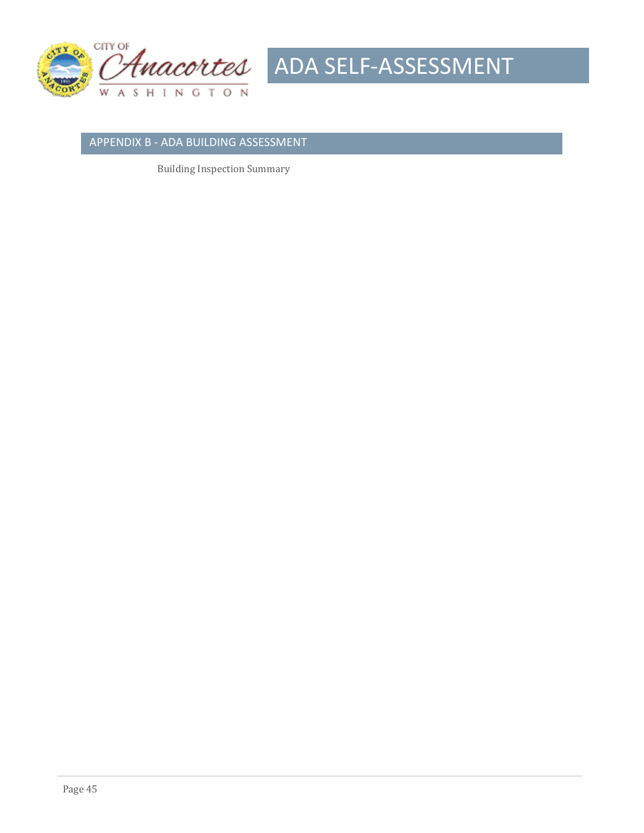



#### APPENDIX B - ADA BUILDING ASSESSMENT

**Building Inspection Summary**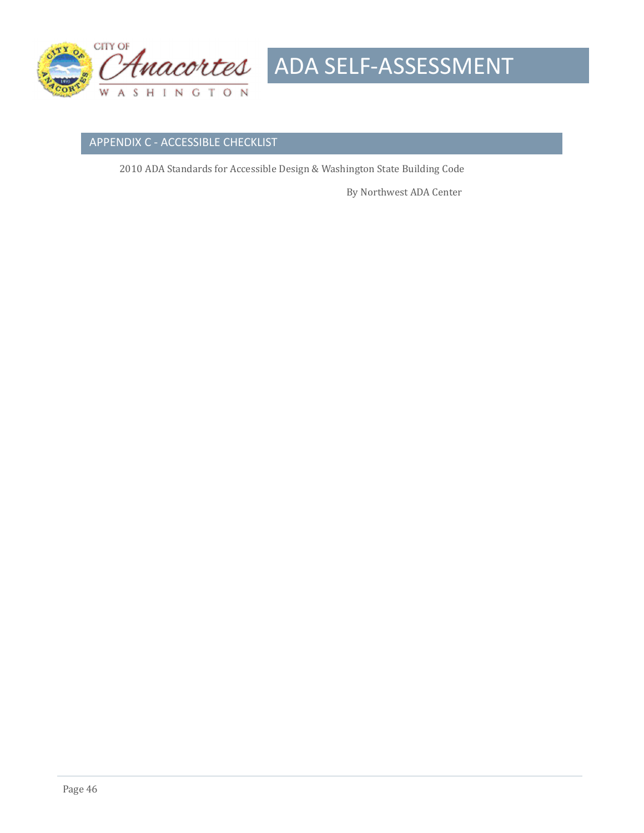

#### APPENDIX C - ACCESSIBLE CHECKLIST

2010 ADA Standards for Accessible Design & Washington State Building Code

By Northwest ADA Center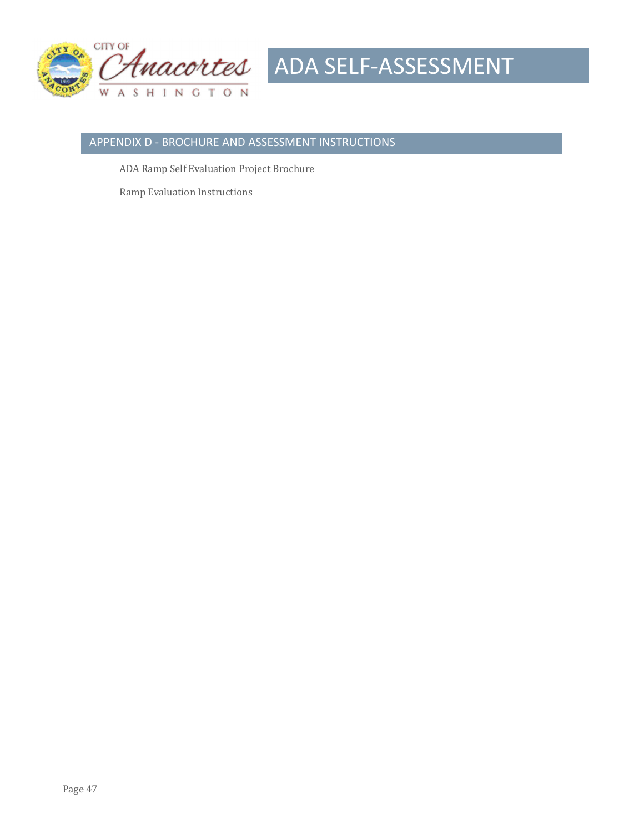

#### APPENDIX D - BROCHURE AND ASSESSMENT INSTRUCTIONS

ADA Ramp Self Evaluation Project Brochure

**Ramp Evaluation Instructions**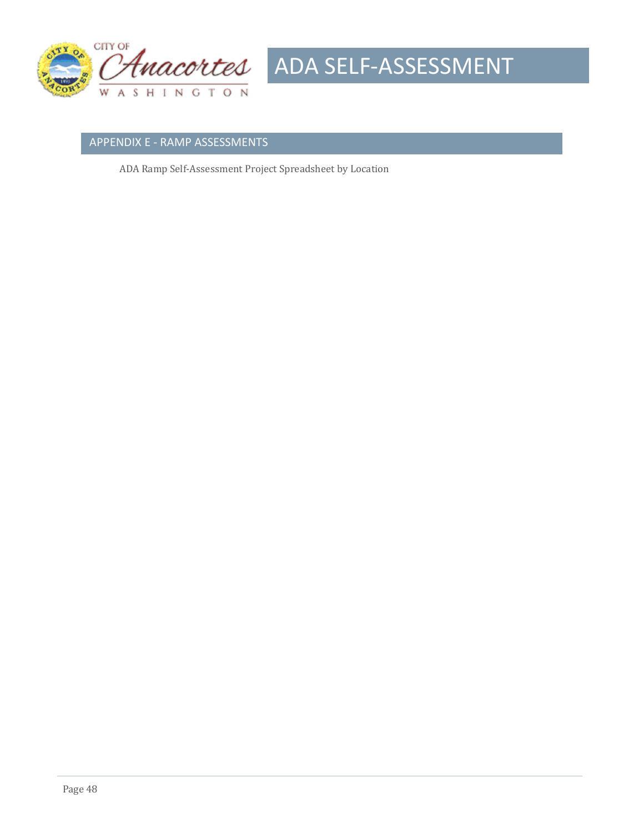

#### APPENDIX E - RAMP ASSESSMENTS

ADA Ramp Self-Assessment Project Spreadsheet by Location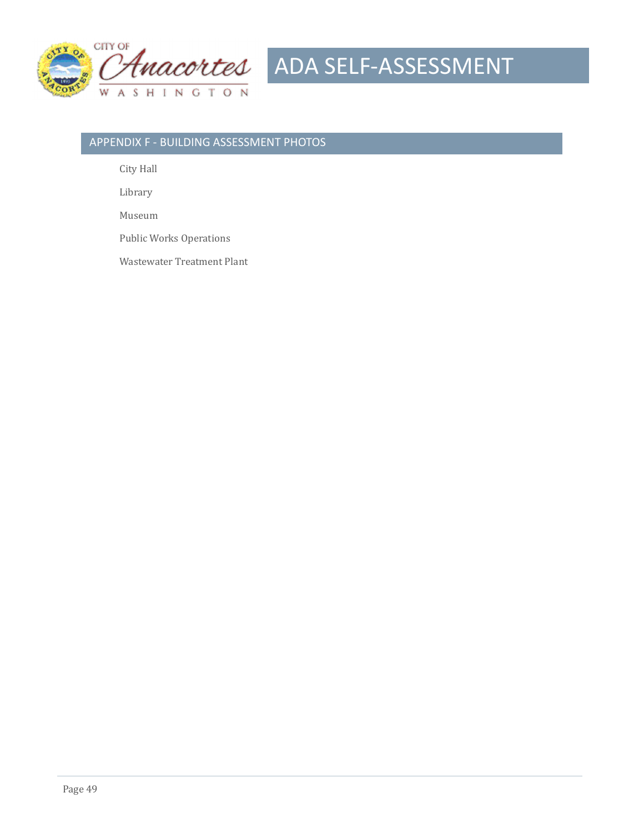

#### APPENDIX F - BUILDING ASSESSMENT PHOTOS

City Hall

 Library 

 Museum 

Public Works Operations

Wastewater Treatment Plant